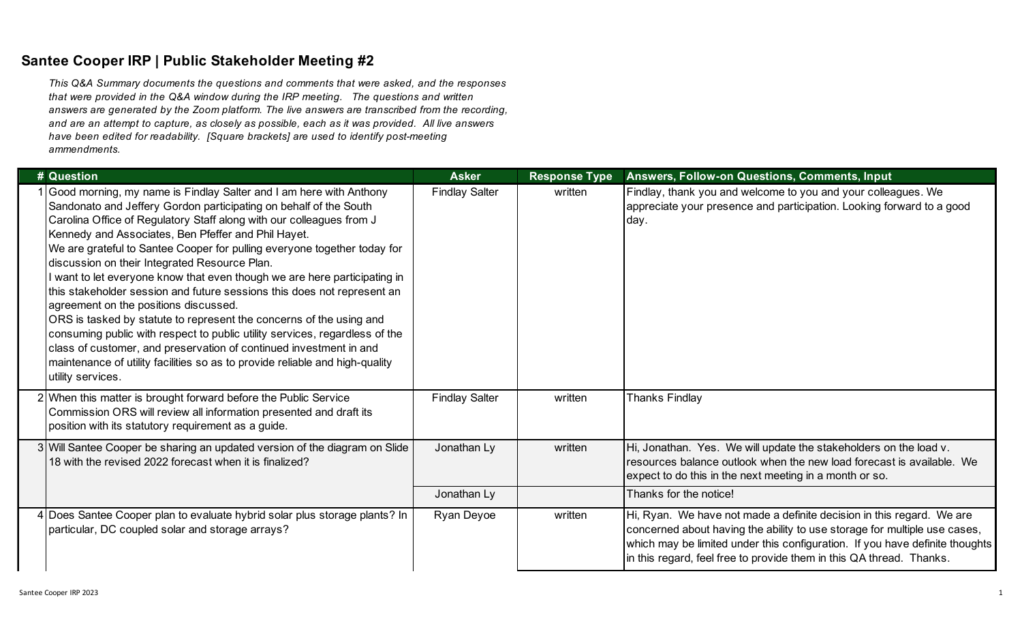## **Santee Cooper IRP | Public Stakeholder Meeting #2**

*This Q&A Summary documents the questions and comments that were asked, and the responses that were provided in the Q&A window during the IRP meeting. The questions and written answers are generated by the Zoom platform. The live answers are transcribed from the recording, and are an attempt to capture, as closely as possible, each as it was provided. All live answers have been edited for readability. [Square brackets] are used to identify post-meeting ammendments.* 

| # Question                                                                                                                                                                                                                                                                                                                                                                                                                                                                                                                                                                                                                                                                                                                                                                                                                                                                                                                            | <b>Asker</b>          | <b>Response Type</b> | Answers, Follow-on Questions, Comments, Input                                                                                                                                                                                                                                                              |
|---------------------------------------------------------------------------------------------------------------------------------------------------------------------------------------------------------------------------------------------------------------------------------------------------------------------------------------------------------------------------------------------------------------------------------------------------------------------------------------------------------------------------------------------------------------------------------------------------------------------------------------------------------------------------------------------------------------------------------------------------------------------------------------------------------------------------------------------------------------------------------------------------------------------------------------|-----------------------|----------------------|------------------------------------------------------------------------------------------------------------------------------------------------------------------------------------------------------------------------------------------------------------------------------------------------------------|
| Good morning, my name is Findlay Salter and I am here with Anthony<br>Sandonato and Jeffery Gordon participating on behalf of the South<br>Carolina Office of Regulatory Staff along with our colleagues from J<br>Kennedy and Associates, Ben Pfeffer and Phil Hayet.<br>We are grateful to Santee Cooper for pulling everyone together today for<br>discussion on their Integrated Resource Plan.<br>I want to let everyone know that even though we are here participating in<br>this stakeholder session and future sessions this does not represent an<br>agreement on the positions discussed.<br>ORS is tasked by statute to represent the concerns of the using and<br>consuming public with respect to public utility services, regardless of the<br>class of customer, and preservation of continued investment in and<br>maintenance of utility facilities so as to provide reliable and high-quality<br>utility services. | <b>Findlay Salter</b> | written              | Findlay, thank you and welcome to you and your colleagues. We<br>appreciate your presence and participation. Looking forward to a good<br>day.                                                                                                                                                             |
| 2 When this matter is brought forward before the Public Service<br>Commission ORS will review all information presented and draft its<br>position with its statutory requirement as a guide.                                                                                                                                                                                                                                                                                                                                                                                                                                                                                                                                                                                                                                                                                                                                          | <b>Findlay Salter</b> | written              | <b>Thanks Findlay</b>                                                                                                                                                                                                                                                                                      |
| 3 Will Santee Cooper be sharing an updated version of the diagram on Slide<br>18 with the revised 2022 forecast when it is finalized?                                                                                                                                                                                                                                                                                                                                                                                                                                                                                                                                                                                                                                                                                                                                                                                                 | Jonathan Ly           | written              | Hi, Jonathan. Yes. We will update the stakeholders on the load v.<br>resources balance outlook when the new load forecast is available. We<br>expect to do this in the next meeting in a month or so.                                                                                                      |
|                                                                                                                                                                                                                                                                                                                                                                                                                                                                                                                                                                                                                                                                                                                                                                                                                                                                                                                                       | Jonathan Ly           |                      | Thanks for the notice!                                                                                                                                                                                                                                                                                     |
| 4 Does Santee Cooper plan to evaluate hybrid solar plus storage plants? In<br>particular, DC coupled solar and storage arrays?                                                                                                                                                                                                                                                                                                                                                                                                                                                                                                                                                                                                                                                                                                                                                                                                        | Ryan Deyoe            | written              | Hi, Ryan. We have not made a definite decision in this regard. We are<br>concerned about having the ability to use storage for multiple use cases,<br>which may be limited under this configuration. If you have definite thoughts<br>in this regard, feel free to provide them in this QA thread. Thanks. |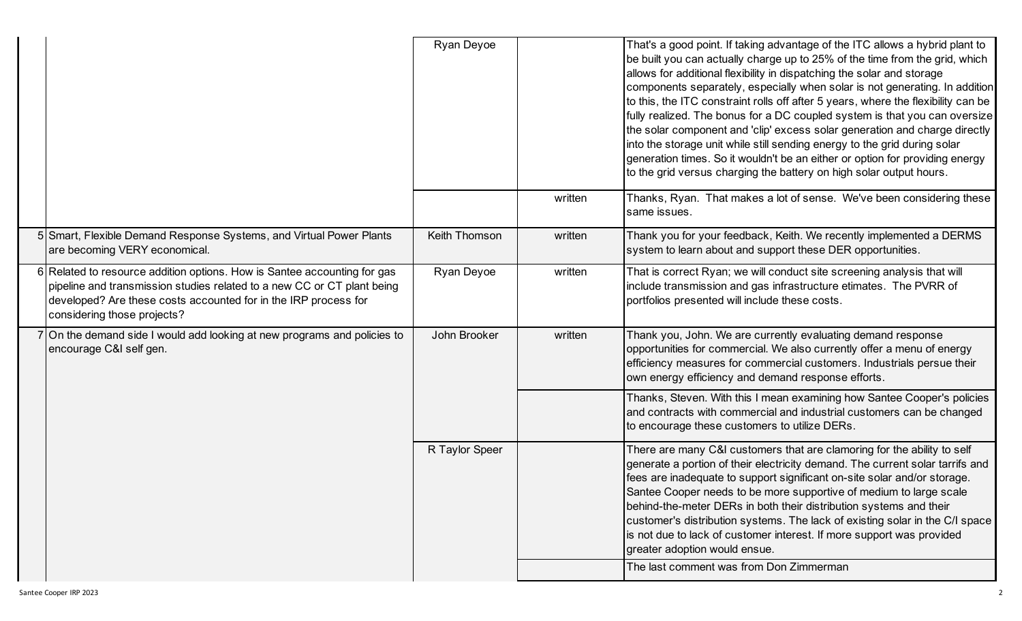|                                                                                                                                                                                                                                                       | Ryan Deyoe     |         | That's a good point. If taking advantage of the ITC allows a hybrid plant to<br>be built you can actually charge up to 25% of the time from the grid, which<br>allows for additional flexibility in dispatching the solar and storage<br>components separately, especially when solar is not generating. In addition<br>to this, the ITC constraint rolls off after 5 years, where the flexibility can be<br>fully realized. The bonus for a DC coupled system is that you can oversize<br>the solar component and 'clip' excess solar generation and charge directly<br>into the storage unit while still sending energy to the grid during solar<br>generation times. So it wouldn't be an either or option for providing energy<br>to the grid versus charging the battery on high solar output hours. |
|-------------------------------------------------------------------------------------------------------------------------------------------------------------------------------------------------------------------------------------------------------|----------------|---------|-----------------------------------------------------------------------------------------------------------------------------------------------------------------------------------------------------------------------------------------------------------------------------------------------------------------------------------------------------------------------------------------------------------------------------------------------------------------------------------------------------------------------------------------------------------------------------------------------------------------------------------------------------------------------------------------------------------------------------------------------------------------------------------------------------------|
|                                                                                                                                                                                                                                                       |                | written | Thanks, Ryan. That makes a lot of sense. We've been considering these<br>same issues.                                                                                                                                                                                                                                                                                                                                                                                                                                                                                                                                                                                                                                                                                                                     |
| 5 Smart, Flexible Demand Response Systems, and Virtual Power Plants<br>are becoming VERY economical.                                                                                                                                                  | Keith Thomson  | written | Thank you for your feedback, Keith. We recently implemented a DERMS<br>system to learn about and support these DER opportunities.                                                                                                                                                                                                                                                                                                                                                                                                                                                                                                                                                                                                                                                                         |
| 6 Related to resource addition options. How is Santee accounting for gas<br>pipeline and transmission studies related to a new CC or CT plant being<br>developed? Are these costs accounted for in the IRP process for<br>considering those projects? | Ryan Deyoe     | written | That is correct Ryan; we will conduct site screening analysis that will<br>include transmission and gas infrastructure etimates. The PVRR of<br>portfolios presented will include these costs.                                                                                                                                                                                                                                                                                                                                                                                                                                                                                                                                                                                                            |
| 7 On the demand side I would add looking at new programs and policies to<br>encourage C&I self gen.                                                                                                                                                   | John Brooker   | written | Thank you, John. We are currently evaluating demand response<br>opportunities for commercial. We also currently offer a menu of energy<br>efficiency measures for commercial customers. Industrials persue their<br>own energy efficiency and demand response efforts.                                                                                                                                                                                                                                                                                                                                                                                                                                                                                                                                    |
|                                                                                                                                                                                                                                                       |                |         | Thanks, Steven. With this I mean examining how Santee Cooper's policies<br>and contracts with commercial and industrial customers can be changed<br>to encourage these customers to utilize DERs.                                                                                                                                                                                                                                                                                                                                                                                                                                                                                                                                                                                                         |
|                                                                                                                                                                                                                                                       | R Taylor Speer |         | There are many C&I customers that are clamoring for the ability to self<br>generate a portion of their electricity demand. The current solar tarrifs and<br>fees are inadequate to support significant on-site solar and/or storage.<br>Santee Cooper needs to be more supportive of medium to large scale<br>behind-the-meter DERs in both their distribution systems and their<br>customer's distribution systems. The lack of existing solar in the C/I space<br>is not due to lack of customer interest. If more support was provided<br>greater adoption would ensue.<br>The last comment was from Don Zimmerman                                                                                                                                                                                     |
|                                                                                                                                                                                                                                                       |                |         |                                                                                                                                                                                                                                                                                                                                                                                                                                                                                                                                                                                                                                                                                                                                                                                                           |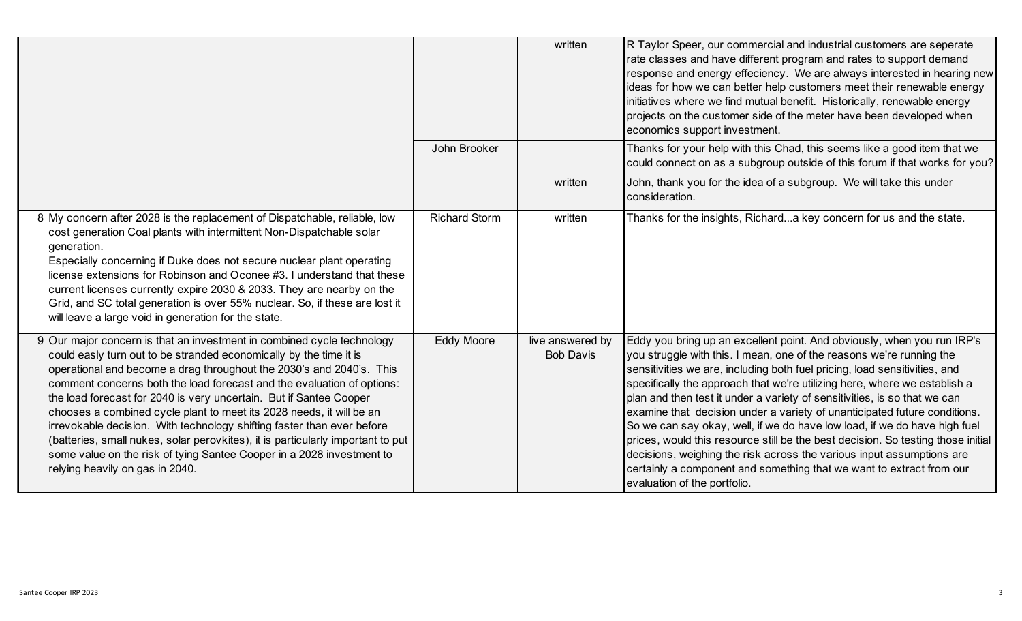|                                                                                                                                                                                                                                                                                                                                                                                                                                                                                                                                                                                                                                                                                                                       |                      | written                              | R Taylor Speer, our commercial and industrial customers are seperate<br>rate classes and have different program and rates to support demand<br>response and energy effeciency. We are always interested in hearing new<br>ideas for how we can better help customers meet their renewable energy<br>initiatives where we find mutual benefit. Historically, renewable energy<br>projects on the customer side of the meter have been developed when<br>economics support investment.                                                                                                                                                                                                                                                                                                                                   |
|-----------------------------------------------------------------------------------------------------------------------------------------------------------------------------------------------------------------------------------------------------------------------------------------------------------------------------------------------------------------------------------------------------------------------------------------------------------------------------------------------------------------------------------------------------------------------------------------------------------------------------------------------------------------------------------------------------------------------|----------------------|--------------------------------------|------------------------------------------------------------------------------------------------------------------------------------------------------------------------------------------------------------------------------------------------------------------------------------------------------------------------------------------------------------------------------------------------------------------------------------------------------------------------------------------------------------------------------------------------------------------------------------------------------------------------------------------------------------------------------------------------------------------------------------------------------------------------------------------------------------------------|
|                                                                                                                                                                                                                                                                                                                                                                                                                                                                                                                                                                                                                                                                                                                       | John Brooker         |                                      | Thanks for your help with this Chad, this seems like a good item that we<br>could connect on as a subgroup outside of this forum if that works for you?                                                                                                                                                                                                                                                                                                                                                                                                                                                                                                                                                                                                                                                                |
|                                                                                                                                                                                                                                                                                                                                                                                                                                                                                                                                                                                                                                                                                                                       |                      | written                              | John, thank you for the idea of a subgroup. We will take this under<br>consideration.                                                                                                                                                                                                                                                                                                                                                                                                                                                                                                                                                                                                                                                                                                                                  |
| 8 My concern after 2028 is the replacement of Dispatchable, reliable, low<br>cost generation Coal plants with intermittent Non-Dispatchable solar<br>generation.<br>Especially concerning if Duke does not secure nuclear plant operating<br>license extensions for Robinson and Oconee #3. I understand that these<br>current licenses currently expire 2030 & 2033. They are nearby on the<br>Grid, and SC total generation is over 55% nuclear. So, if these are lost it<br>will leave a large void in generation for the state.                                                                                                                                                                                   | <b>Richard Storm</b> | written                              | Thanks for the insights, Richarda key concern for us and the state.                                                                                                                                                                                                                                                                                                                                                                                                                                                                                                                                                                                                                                                                                                                                                    |
| 9 Our major concern is that an investment in combined cycle technology<br>could easly turn out to be stranded economically by the time it is<br>operational and become a drag throughout the 2030's and 2040's. This<br>comment concerns both the load forecast and the evaluation of options:<br>the load forecast for 2040 is very uncertain. But if Santee Cooper<br>chooses a combined cycle plant to meet its 2028 needs, it will be an<br>irrevokable decision. With technology shifting faster than ever before<br>(batteries, small nukes, solar perovkites), it is particularly important to put<br>some value on the risk of tying Santee Cooper in a 2028 investment to<br>relying heavily on gas in 2040. | <b>Eddy Moore</b>    | live answered by<br><b>Bob Davis</b> | Eddy you bring up an excellent point. And obviously, when you run IRP's<br>you struggle with this. I mean, one of the reasons we're running the<br>sensitivities we are, including both fuel pricing, load sensitivities, and<br>specifically the approach that we're utilizing here, where we establish a<br>plan and then test it under a variety of sensitivities, is so that we can<br>examine that decision under a variety of unanticipated future conditions.<br>So we can say okay, well, if we do have low load, if we do have high fuel<br>prices, would this resource still be the best decision. So testing those initial<br>decisions, weighing the risk across the various input assumptions are<br>certainly a component and something that we want to extract from our<br>evaluation of the portfolio. |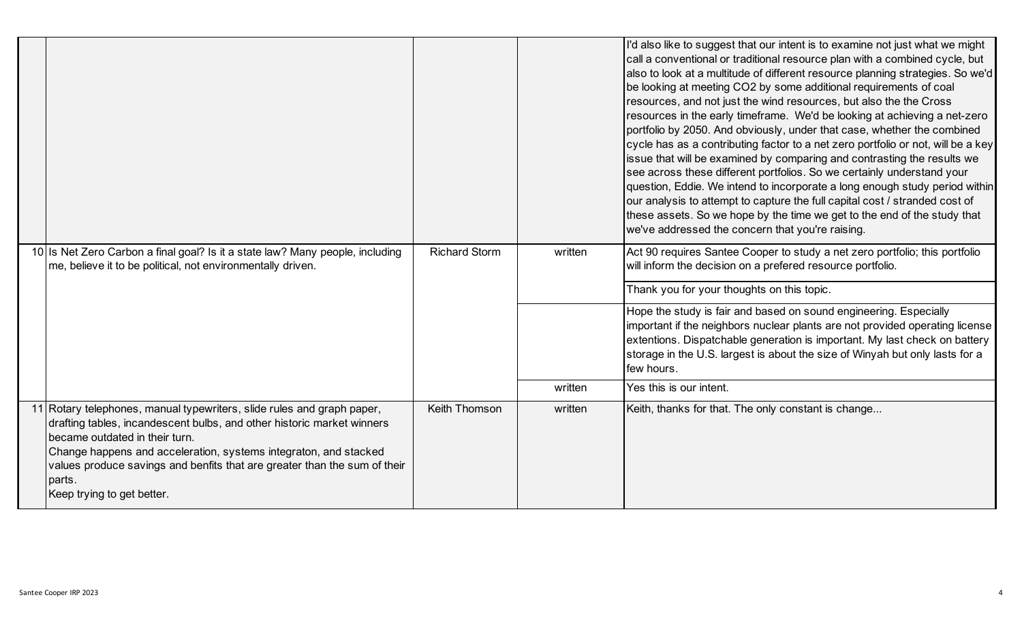|                                                                                                                                                                                                                                                                                                                                                                             |                      |         | I'd also like to suggest that our intent is to examine not just what we might<br>call a conventional or traditional resource plan with a combined cycle, but<br>also to look at a multitude of different resource planning strategies. So we'd<br>be looking at meeting CO2 by some additional requirements of coal<br>resources, and not just the wind resources, but also the the Cross<br>resources in the early timeframe. We'd be looking at achieving a net-zero<br>portfolio by 2050. And obviously, under that case, whether the combined<br>cycle has as a contributing factor to a net zero portfolio or not, will be a key<br>issue that will be examined by comparing and contrasting the results we<br>see across these different portfolios. So we certainly understand your<br>question, Eddie. We intend to incorporate a long enough study period within<br>our analysis to attempt to capture the full capital cost / stranded cost of<br>these assets. So we hope by the time we get to the end of the study that<br>we've addressed the concern that you're raising. |
|-----------------------------------------------------------------------------------------------------------------------------------------------------------------------------------------------------------------------------------------------------------------------------------------------------------------------------------------------------------------------------|----------------------|---------|------------------------------------------------------------------------------------------------------------------------------------------------------------------------------------------------------------------------------------------------------------------------------------------------------------------------------------------------------------------------------------------------------------------------------------------------------------------------------------------------------------------------------------------------------------------------------------------------------------------------------------------------------------------------------------------------------------------------------------------------------------------------------------------------------------------------------------------------------------------------------------------------------------------------------------------------------------------------------------------------------------------------------------------------------------------------------------------|
| 10 Is Net Zero Carbon a final goal? Is it a state law? Many people, including<br>me, believe it to be political, not environmentally driven.                                                                                                                                                                                                                                | <b>Richard Storm</b> | written | Act 90 requires Santee Cooper to study a net zero portfolio; this portfolio<br>will inform the decision on a prefered resource portfolio.                                                                                                                                                                                                                                                                                                                                                                                                                                                                                                                                                                                                                                                                                                                                                                                                                                                                                                                                                |
|                                                                                                                                                                                                                                                                                                                                                                             |                      |         | Thank you for your thoughts on this topic.                                                                                                                                                                                                                                                                                                                                                                                                                                                                                                                                                                                                                                                                                                                                                                                                                                                                                                                                                                                                                                               |
|                                                                                                                                                                                                                                                                                                                                                                             |                      |         | Hope the study is fair and based on sound engineering. Especially<br>important if the neighbors nuclear plants are not provided operating license<br>extentions. Dispatchable generation is important. My last check on battery<br>storage in the U.S. largest is about the size of Winyah but only lasts for a<br>few hours.                                                                                                                                                                                                                                                                                                                                                                                                                                                                                                                                                                                                                                                                                                                                                            |
|                                                                                                                                                                                                                                                                                                                                                                             |                      | written | Yes this is our intent.                                                                                                                                                                                                                                                                                                                                                                                                                                                                                                                                                                                                                                                                                                                                                                                                                                                                                                                                                                                                                                                                  |
| 11 Rotary telephones, manual typewriters, slide rules and graph paper,<br>drafting tables, incandescent bulbs, and other historic market winners<br>became outdated in their turn.<br>Change happens and acceleration, systems integraton, and stacked<br>values produce savings and benfits that are greater than the sum of their<br>parts.<br>Keep trying to get better. | Keith Thomson        | written | Keith, thanks for that. The only constant is change                                                                                                                                                                                                                                                                                                                                                                                                                                                                                                                                                                                                                                                                                                                                                                                                                                                                                                                                                                                                                                      |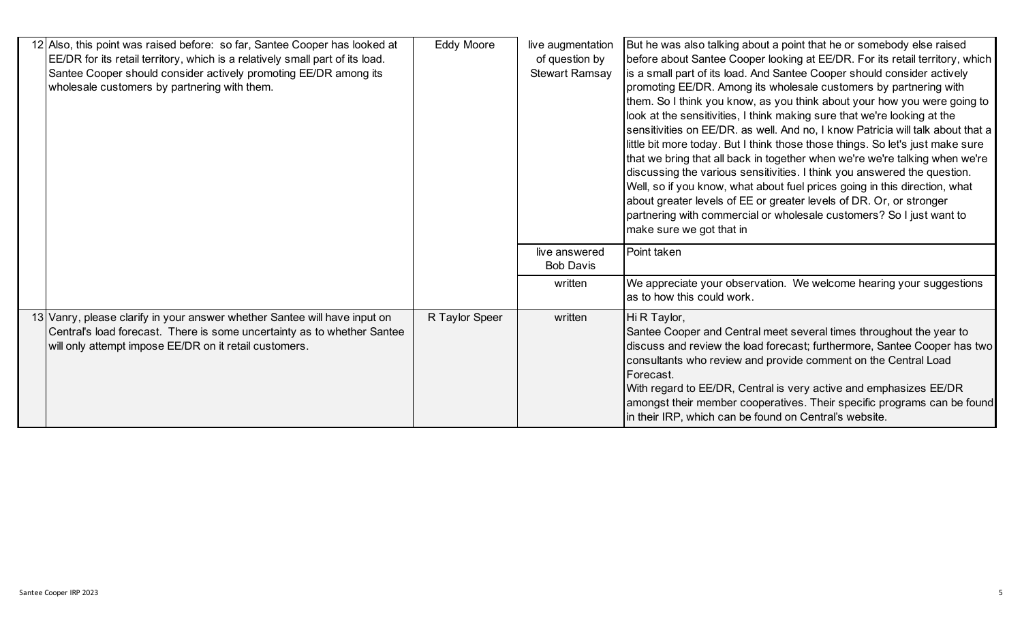| 12 Also, this point was raised before: so far, Santee Cooper has looked at<br>EE/DR for its retail territory, which is a relatively small part of its load.<br>Santee Cooper should consider actively promoting EE/DR among its<br>wholesale customers by partnering with them. | Eddy Moore     | live augmentation<br>of question by<br><b>Stewart Ramsay</b> | But he was also talking about a point that he or somebody else raised<br>before about Santee Cooper looking at EE/DR. For its retail territory, which<br>is a small part of its load. And Santee Cooper should consider actively<br>promoting EE/DR. Among its wholesale customers by partnering with<br>them. So I think you know, as you think about your how you were going to<br>look at the sensitivities, I think making sure that we're looking at the<br>sensitivities on EE/DR. as well. And no, I know Patricia will talk about that a<br>little bit more today. But I think those those things. So let's just make sure<br>that we bring that all back in together when we're we're talking when we're<br>discussing the various sensitivities. I think you answered the question.<br>Well, so if you know, what about fuel prices going in this direction, what<br>about greater levels of EE or greater levels of DR. Or, or stronger<br>partnering with commercial or wholesale customers? So I just want to<br>make sure we got that in |
|---------------------------------------------------------------------------------------------------------------------------------------------------------------------------------------------------------------------------------------------------------------------------------|----------------|--------------------------------------------------------------|--------------------------------------------------------------------------------------------------------------------------------------------------------------------------------------------------------------------------------------------------------------------------------------------------------------------------------------------------------------------------------------------------------------------------------------------------------------------------------------------------------------------------------------------------------------------------------------------------------------------------------------------------------------------------------------------------------------------------------------------------------------------------------------------------------------------------------------------------------------------------------------------------------------------------------------------------------------------------------------------------------------------------------------------------------|
|                                                                                                                                                                                                                                                                                 |                | live answered<br><b>Bob Davis</b>                            | Point taken                                                                                                                                                                                                                                                                                                                                                                                                                                                                                                                                                                                                                                                                                                                                                                                                                                                                                                                                                                                                                                            |
|                                                                                                                                                                                                                                                                                 |                | written                                                      | We appreciate your observation. We welcome hearing your suggestions<br>as to how this could work.                                                                                                                                                                                                                                                                                                                                                                                                                                                                                                                                                                                                                                                                                                                                                                                                                                                                                                                                                      |
| 13 Vanry, please clarify in your answer whether Santee will have input on<br>Central's load forecast. There is some uncertainty as to whether Santee<br>will only attempt impose EE/DR on it retail customers.                                                                  | R Taylor Speer | written                                                      | Hi R Taylor,<br>Santee Cooper and Central meet several times throughout the year to<br>discuss and review the load forecast; furthermore, Santee Cooper has two<br>consultants who review and provide comment on the Central Load<br>Forecast.<br>With regard to EE/DR, Central is very active and emphasizes EE/DR<br>amongst their member cooperatives. Their specific programs can be found<br>in their IRP, which can be found on Central's website.                                                                                                                                                                                                                                                                                                                                                                                                                                                                                                                                                                                               |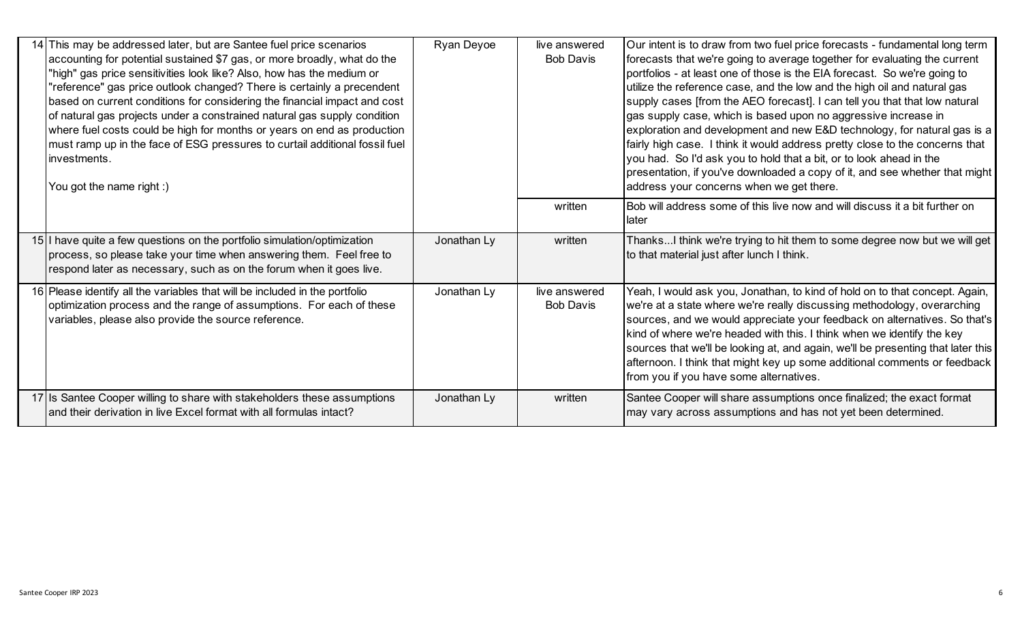| 14 This may be addressed later, but are Santee fuel price scenarios<br>accounting for potential sustained \$7 gas, or more broadly, what do the<br>"high" gas price sensitivities look like? Also, how has the medium or<br>"reference" gas price outlook changed? There is certainly a precendent<br>based on current conditions for considering the financial impact and cost<br>of natural gas projects under a constrained natural gas supply condition<br>where fuel costs could be high for months or years on end as production<br>must ramp up in the face of ESG pressures to curtail additional fossil fuel | Ryan Deyoe  | live answered<br><b>Bob Davis</b> | Our intent is to draw from two fuel price forecasts - fundamental long term<br>forecasts that we're going to average together for evaluating the current<br>portfolios - at least one of those is the EIA forecast. So we're going to<br>utilize the reference case, and the low and the high oil and natural gas<br>supply cases [from the AEO forecast]. I can tell you that that low natural<br>gas supply case, which is based upon no aggressive increase in<br>exploration and development and new E&D technology, for natural gas is a<br>fairly high case. I think it would address pretty close to the concerns that |
|-----------------------------------------------------------------------------------------------------------------------------------------------------------------------------------------------------------------------------------------------------------------------------------------------------------------------------------------------------------------------------------------------------------------------------------------------------------------------------------------------------------------------------------------------------------------------------------------------------------------------|-------------|-----------------------------------|-------------------------------------------------------------------------------------------------------------------------------------------------------------------------------------------------------------------------------------------------------------------------------------------------------------------------------------------------------------------------------------------------------------------------------------------------------------------------------------------------------------------------------------------------------------------------------------------------------------------------------|
| investments.<br>You got the name right :)                                                                                                                                                                                                                                                                                                                                                                                                                                                                                                                                                                             |             |                                   | you had. So I'd ask you to hold that a bit, or to look ahead in the<br>presentation, if you've downloaded a copy of it, and see whether that might<br>address your concerns when we get there.                                                                                                                                                                                                                                                                                                                                                                                                                                |
|                                                                                                                                                                                                                                                                                                                                                                                                                                                                                                                                                                                                                       |             | written                           | Bob will address some of this live now and will discuss it a bit further on<br>Hater                                                                                                                                                                                                                                                                                                                                                                                                                                                                                                                                          |
| 15 I have quite a few questions on the portfolio simulation/optimization<br>process, so please take your time when answering them. Feel free to<br>respond later as necessary, such as on the forum when it goes live.                                                                                                                                                                                                                                                                                                                                                                                                | Jonathan Ly | written                           | ThanksI think we're trying to hit them to some degree now but we will get<br>to that material just after lunch I think.                                                                                                                                                                                                                                                                                                                                                                                                                                                                                                       |
| 16 Please identify all the variables that will be included in the portfolio<br>optimization process and the range of assumptions. For each of these<br>variables, please also provide the source reference.                                                                                                                                                                                                                                                                                                                                                                                                           | Jonathan Ly | live answered<br><b>Bob Davis</b> | Yeah, I would ask you, Jonathan, to kind of hold on to that concept. Again,<br>we're at a state where we're really discussing methodology, overarching<br>sources, and we would appreciate your feedback on alternatives. So that's<br>kind of where we're headed with this. I think when we identify the key<br>sources that we'll be looking at, and again, we'll be presenting that later this<br>afternoon. I think that might key up some additional comments or feedback<br>from you if you have some alternatives.                                                                                                     |
| 17 Is Santee Cooper willing to share with stakeholders these assumptions<br>and their derivation in live Excel format with all formulas intact?                                                                                                                                                                                                                                                                                                                                                                                                                                                                       | Jonathan Ly | written                           | Santee Cooper will share assumptions once finalized; the exact format<br>may vary across assumptions and has not yet been determined.                                                                                                                                                                                                                                                                                                                                                                                                                                                                                         |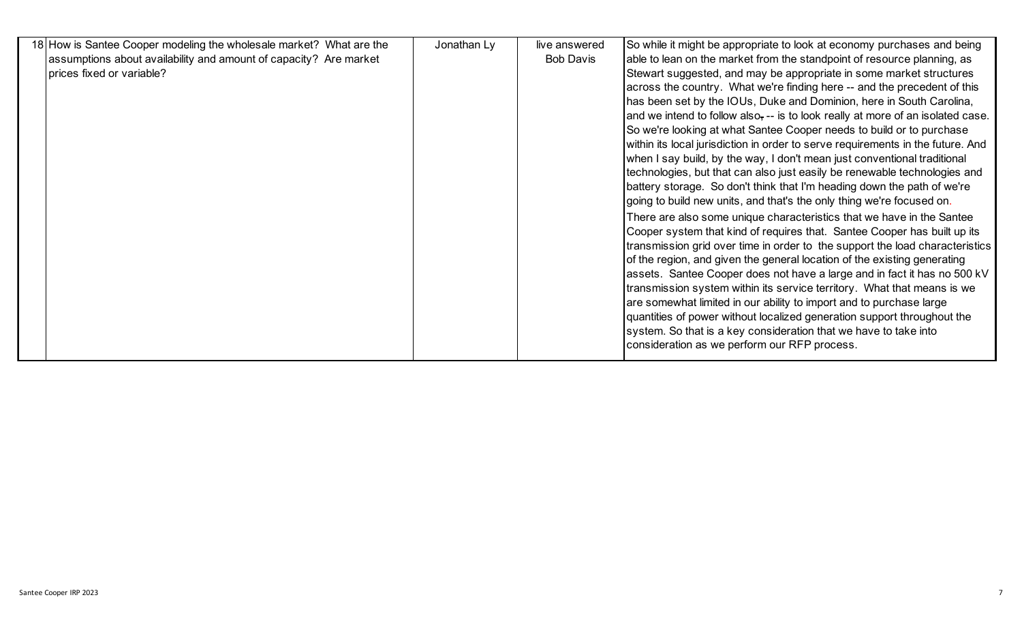| 18 How is Santee Cooper modeling the wholesale market? What are the | Jonathan Ly | live answered    | So while it might be appropriate to look at economy purchases and being         |
|---------------------------------------------------------------------|-------------|------------------|---------------------------------------------------------------------------------|
| assumptions about availability and amount of capacity? Are market   |             | <b>Bob Davis</b> | able to lean on the market from the standpoint of resource planning, as         |
| prices fixed or variable?                                           |             |                  | Stewart suggested, and may be appropriate in some market structures             |
|                                                                     |             |                  | across the country. What we're finding here -- and the precedent of this        |
|                                                                     |             |                  | has been set by the IOUs, Duke and Dominion, here in South Carolina,            |
|                                                                     |             |                  | and we intend to follow also, -- is to look really at more of an isolated case. |
|                                                                     |             |                  | So we're looking at what Santee Cooper needs to build or to purchase            |
|                                                                     |             |                  | within its local jurisdiction in order to serve requirements in the future. And |
|                                                                     |             |                  | when I say build, by the way, I don't mean just conventional traditional        |
|                                                                     |             |                  | technologies, but that can also just easily be renewable technologies and       |
|                                                                     |             |                  | battery storage. So don't think that I'm heading down the path of we're         |
|                                                                     |             |                  | going to build new units, and that's the only thing we're focused on.           |
|                                                                     |             |                  | There are also some unique characteristics that we have in the Santee           |
|                                                                     |             |                  | Cooper system that kind of requires that. Santee Cooper has built up its        |
|                                                                     |             |                  | transmission grid over time in order to the support the load characteristics    |
|                                                                     |             |                  | of the region, and given the general location of the existing generating        |
|                                                                     |             |                  | assets. Santee Cooper does not have a large and in fact it has no 500 kV        |
|                                                                     |             |                  | transmission system within its service territory. What that means is we         |
|                                                                     |             |                  | are somewhat limited in our ability to import and to purchase large             |
|                                                                     |             |                  | quantities of power without localized generation support throughout the         |
|                                                                     |             |                  | system. So that is a key consideration that we have to take into                |
|                                                                     |             |                  | consideration as we perform our RFP process.                                    |
|                                                                     |             |                  |                                                                                 |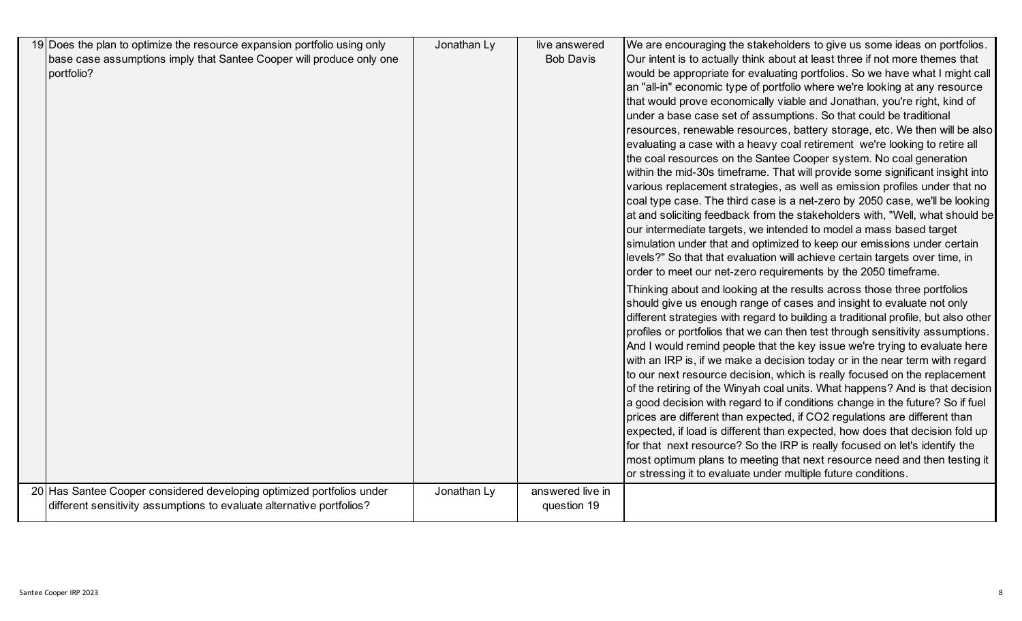| 19 Does the plan to optimize the resource expansion portfolio using only | Jonathan Ly | live answered    | We are encouraging the stakeholders to give us some ideas on portfolios.           |
|--------------------------------------------------------------------------|-------------|------------------|------------------------------------------------------------------------------------|
| base case assumptions imply that Santee Cooper will produce only one     |             | <b>Bob Davis</b> | Our intent is to actually think about at least three if not more themes that       |
| portfolio?                                                               |             |                  | would be appropriate for evaluating portfolios. So we have what I might call       |
|                                                                          |             |                  | an "all-in" economic type of portfolio where we're looking at any resource         |
|                                                                          |             |                  | that would prove economically viable and Jonathan, you're right, kind of           |
|                                                                          |             |                  | under a base case set of assumptions. So that could be traditional                 |
|                                                                          |             |                  | resources, renewable resources, battery storage, etc. We then will be also         |
|                                                                          |             |                  | evaluating a case with a heavy coal retirement we're looking to retire all         |
|                                                                          |             |                  | the coal resources on the Santee Cooper system. No coal generation                 |
|                                                                          |             |                  | within the mid-30s timeframe. That will provide some significant insight into      |
|                                                                          |             |                  | various replacement strategies, as well as emission profiles under that no         |
|                                                                          |             |                  | coal type case. The third case is a net-zero by 2050 case, we'll be looking        |
|                                                                          |             |                  | at and soliciting feedback from the stakeholders with, "Well, what should be       |
|                                                                          |             |                  | our intermediate targets, we intended to model a mass based target                 |
|                                                                          |             |                  | simulation under that and optimized to keep our emissions under certain            |
|                                                                          |             |                  | levels?" So that that evaluation will achieve certain targets over time, in        |
|                                                                          |             |                  | order to meet our net-zero requirements by the 2050 timeframe.                     |
|                                                                          |             |                  | Thinking about and looking at the results across those three portfolios            |
|                                                                          |             |                  | should give us enough range of cases and insight to evaluate not only              |
|                                                                          |             |                  | different strategies with regard to building a traditional profile, but also other |
|                                                                          |             |                  | profiles or portfolios that we can then test through sensitivity assumptions.      |
|                                                                          |             |                  | And I would remind people that the key issue we're trying to evaluate here         |
|                                                                          |             |                  | with an IRP is, if we make a decision today or in the near term with regard        |
|                                                                          |             |                  | to our next resource decision, which is really focused on the replacement          |
|                                                                          |             |                  | of the retiring of the Winyah coal units. What happens? And is that decision       |
|                                                                          |             |                  | a good decision with regard to if conditions change in the future? So if fuel      |
|                                                                          |             |                  | prices are different than expected, if CO2 regulations are different than          |
|                                                                          |             |                  | expected, if load is different than expected, how does that decision fold up       |
|                                                                          |             |                  | for that next resource? So the IRP is really focused on let's identify the         |
|                                                                          |             |                  | most optimum plans to meeting that next resource need and then testing it          |
|                                                                          |             |                  | or stressing it to evaluate under multiple future conditions.                      |
| 20 Has Santee Cooper considered developing optimized portfolios under    | Jonathan Ly | answered live in |                                                                                    |
| different sensitivity assumptions to evaluate alternative portfolios?    |             | question 19      |                                                                                    |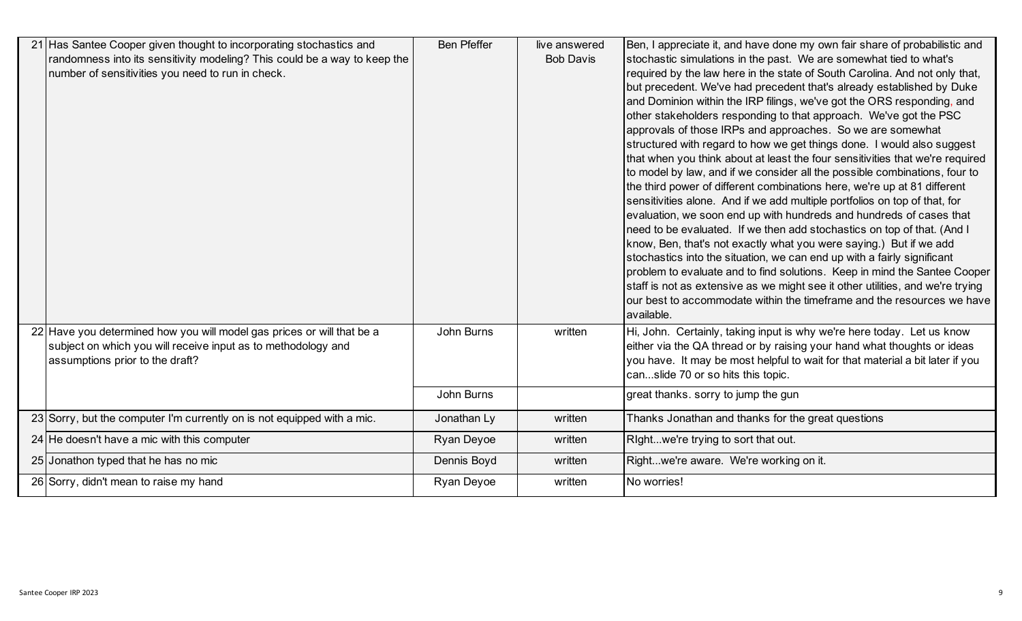| 21 Has Santee Cooper given thought to incorporating stochastics and       | <b>Ben Pfeffer</b> | live answered    | Ben, I appreciate it, and have done my own fair share of probabilistic and                                                                           |
|---------------------------------------------------------------------------|--------------------|------------------|------------------------------------------------------------------------------------------------------------------------------------------------------|
| randomness into its sensitivity modeling? This could be a way to keep the |                    | <b>Bob Davis</b> | stochastic simulations in the past. We are somewhat tied to what's                                                                                   |
| number of sensitivities you need to run in check.                         |                    |                  | required by the law here in the state of South Carolina. And not only that,                                                                          |
|                                                                           |                    |                  | but precedent. We've had precedent that's already established by Duke                                                                                |
|                                                                           |                    |                  | and Dominion within the IRP filings, we've got the ORS responding, and                                                                               |
|                                                                           |                    |                  | other stakeholders responding to that approach. We've got the PSC                                                                                    |
|                                                                           |                    |                  | approvals of those IRPs and approaches. So we are somewhat                                                                                           |
|                                                                           |                    |                  | structured with regard to how we get things done. I would also suggest                                                                               |
|                                                                           |                    |                  | that when you think about at least the four sensitivities that we're required                                                                        |
|                                                                           |                    |                  | to model by law, and if we consider all the possible combinations, four to                                                                           |
|                                                                           |                    |                  | the third power of different combinations here, we're up at 81 different                                                                             |
|                                                                           |                    |                  | sensitivities alone. And if we add multiple portfolios on top of that, for                                                                           |
|                                                                           |                    |                  | evaluation, we soon end up with hundreds and hundreds of cases that                                                                                  |
|                                                                           |                    |                  | need to be evaluated. If we then add stochastics on top of that. (And I                                                                              |
|                                                                           |                    |                  | know, Ben, that's not exactly what you were saying.) But if we add                                                                                   |
|                                                                           |                    |                  | stochastics into the situation, we can end up with a fairly significant<br>problem to evaluate and to find solutions. Keep in mind the Santee Cooper |
|                                                                           |                    |                  | staff is not as extensive as we might see it other utilities, and we're trying                                                                       |
|                                                                           |                    |                  | our best to accommodate within the timeframe and the resources we have                                                                               |
|                                                                           |                    |                  | available.                                                                                                                                           |
| 22 Have you determined how you will model gas prices or will that be a    | John Burns         | written          | Hi, John. Certainly, taking input is why we're here today. Let us know                                                                               |
| subject on which you will receive input as to methodology and             |                    |                  | either via the QA thread or by raising your hand what thoughts or ideas                                                                              |
| assumptions prior to the draft?                                           |                    |                  | you have. It may be most helpful to wait for that material a bit later if you                                                                        |
|                                                                           |                    |                  | canslide 70 or so hits this topic.                                                                                                                   |
|                                                                           | John Burns         |                  | great thanks. sorry to jump the gun                                                                                                                  |
|                                                                           |                    |                  |                                                                                                                                                      |
| $23$ Sorry, but the computer I'm currently on is not equipped with a mic. | Jonathan Ly        | written          | Thanks Jonathan and thanks for the great questions                                                                                                   |
| 24 He doesn't have a mic with this computer                               | Ryan Deyoe         | written          | Rightwe're trying to sort that out.                                                                                                                  |
| 25 Jonathon typed that he has no mic                                      | Dennis Boyd        | written          | Rightwe're aware. We're working on it.                                                                                                               |
| 26 Sorry, didn't mean to raise my hand                                    | Ryan Deyoe         | written          | No worries!                                                                                                                                          |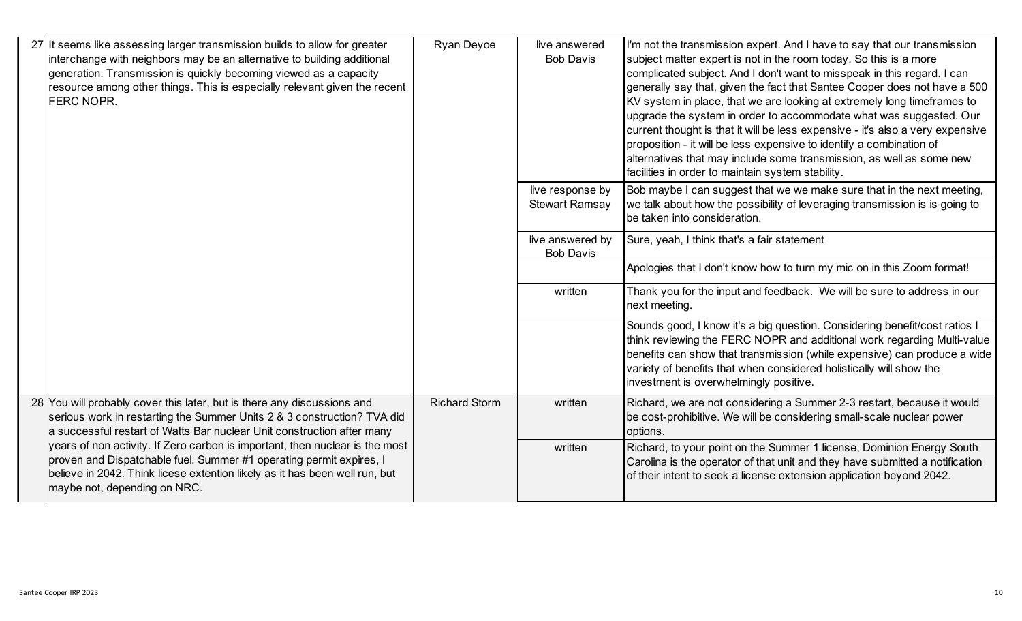| 27 It seems like assessing larger transmission builds to allow for greater<br>interchange with neighbors may be an alternative to building additional<br>generation. Transmission is quickly becoming viewed as a capacity<br>resource among other things. This is especially relevant given the recent<br><b>FERC NOPR.</b> | Ryan Deyoe           | live answered<br><b>Bob Davis</b>         | I'm not the transmission expert. And I have to say that our transmission<br>subject matter expert is not in the room today. So this is a more<br>complicated subject. And I don't want to misspeak in this regard. I can<br>generally say that, given the fact that Santee Cooper does not have a 500<br>KV system in place, that we are looking at extremely long timeframes to<br>upgrade the system in order to accommodate what was suggested. Our<br>current thought is that it will be less expensive - it's also a very expensive<br>proposition - it will be less expensive to identify a combination of<br>alternatives that may include some transmission, as well as some new<br>facilities in order to maintain system stability. |
|------------------------------------------------------------------------------------------------------------------------------------------------------------------------------------------------------------------------------------------------------------------------------------------------------------------------------|----------------------|-------------------------------------------|-----------------------------------------------------------------------------------------------------------------------------------------------------------------------------------------------------------------------------------------------------------------------------------------------------------------------------------------------------------------------------------------------------------------------------------------------------------------------------------------------------------------------------------------------------------------------------------------------------------------------------------------------------------------------------------------------------------------------------------------------|
|                                                                                                                                                                                                                                                                                                                              |                      | live response by<br><b>Stewart Ramsay</b> | Bob maybe I can suggest that we we make sure that in the next meeting,<br>we talk about how the possibility of leveraging transmission is is going to<br>be taken into consideration.                                                                                                                                                                                                                                                                                                                                                                                                                                                                                                                                                         |
|                                                                                                                                                                                                                                                                                                                              |                      | live answered by<br><b>Bob Davis</b>      | Sure, yeah, I think that's a fair statement                                                                                                                                                                                                                                                                                                                                                                                                                                                                                                                                                                                                                                                                                                   |
|                                                                                                                                                                                                                                                                                                                              |                      |                                           | Apologies that I don't know how to turn my mic on in this Zoom format!                                                                                                                                                                                                                                                                                                                                                                                                                                                                                                                                                                                                                                                                        |
|                                                                                                                                                                                                                                                                                                                              |                      | written                                   | Thank you for the input and feedback. We will be sure to address in our<br>next meeting.                                                                                                                                                                                                                                                                                                                                                                                                                                                                                                                                                                                                                                                      |
|                                                                                                                                                                                                                                                                                                                              |                      |                                           | Sounds good, I know it's a big question. Considering benefit/cost ratios I<br>think reviewing the FERC NOPR and additional work regarding Multi-value<br>benefits can show that transmission (while expensive) can produce a wide<br>variety of benefits that when considered holistically will show the<br>investment is overwhelmingly positive.                                                                                                                                                                                                                                                                                                                                                                                            |
| 28 You will probably cover this later, but is there any discussions and<br>serious work in restarting the Summer Units 2 & 3 construction? TVA did<br>a successful restart of Watts Bar nuclear Unit construction after many                                                                                                 | <b>Richard Storm</b> | written                                   | Richard, we are not considering a Summer 2-3 restart, because it would<br>be cost-prohibitive. We will be considering small-scale nuclear power<br>options.                                                                                                                                                                                                                                                                                                                                                                                                                                                                                                                                                                                   |
| years of non activity. If Zero carbon is important, then nuclear is the most<br>proven and Dispatchable fuel. Summer #1 operating permit expires, I<br>believe in 2042. Think licese extention likely as it has been well run, but<br>maybe not, depending on NRC.                                                           |                      | written                                   | Richard, to your point on the Summer 1 license, Dominion Energy South<br>Carolina is the operator of that unit and they have submitted a notification<br>of their intent to seek a license extension application beyond 2042.                                                                                                                                                                                                                                                                                                                                                                                                                                                                                                                 |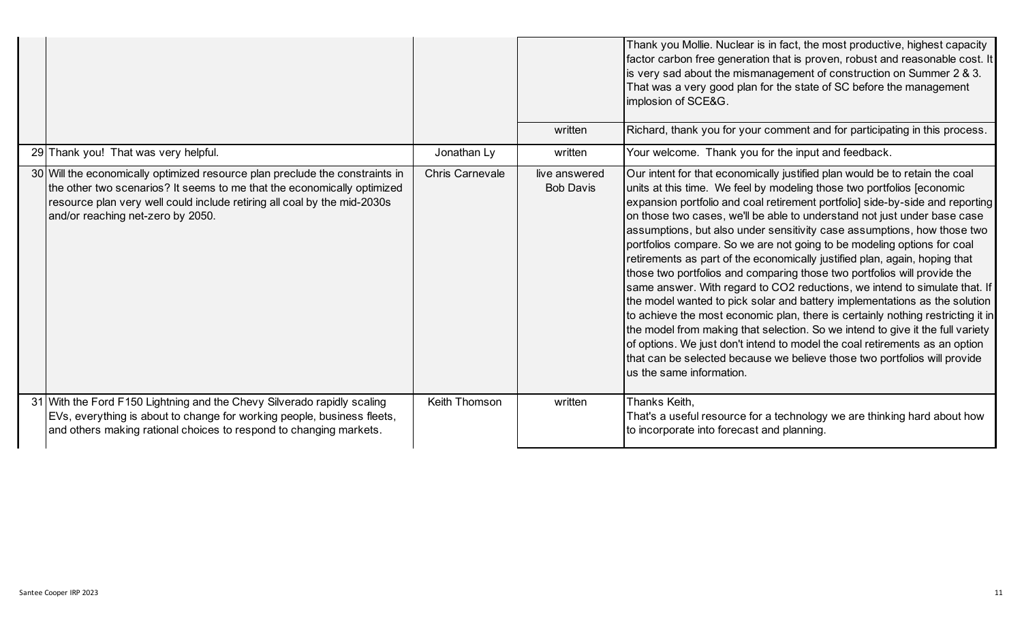|                                                                                                                                                                                                                                                                          |                 | written                           | Thank you Mollie. Nuclear is in fact, the most productive, highest capacity<br>factor carbon free generation that is proven, robust and reasonable cost. It<br>is very sad about the mismanagement of construction on Summer 2 & 3.<br>That was a very good plan for the state of SC before the management<br>implosion of SCE&G.<br>Richard, thank you for your comment and for participating in this process.                                                                                                                                                                                                                                                                                                                                                                                                                                                                                                                                                                                                                                                                                                                                             |
|--------------------------------------------------------------------------------------------------------------------------------------------------------------------------------------------------------------------------------------------------------------------------|-----------------|-----------------------------------|-------------------------------------------------------------------------------------------------------------------------------------------------------------------------------------------------------------------------------------------------------------------------------------------------------------------------------------------------------------------------------------------------------------------------------------------------------------------------------------------------------------------------------------------------------------------------------------------------------------------------------------------------------------------------------------------------------------------------------------------------------------------------------------------------------------------------------------------------------------------------------------------------------------------------------------------------------------------------------------------------------------------------------------------------------------------------------------------------------------------------------------------------------------|
| 29 Thank you! That was very helpful.                                                                                                                                                                                                                                     | Jonathan Ly     | written                           | Your welcome. Thank you for the input and feedback.                                                                                                                                                                                                                                                                                                                                                                                                                                                                                                                                                                                                                                                                                                                                                                                                                                                                                                                                                                                                                                                                                                         |
| 30 Will the economically optimized resource plan preclude the constraints in<br>the other two scenarios? It seems to me that the economically optimized<br>resource plan very well could include retiring all coal by the mid-2030s<br>and/or reaching net-zero by 2050. | Chris Carnevale | live answered<br><b>Bob Davis</b> | Our intent for that economically justified plan would be to retain the coal<br>units at this time. We feel by modeling those two portfolios [economic<br>expansion portfolio and coal retirement portfolio] side-by-side and reporting<br>on those two cases, we'll be able to understand not just under base case<br>assumptions, but also under sensitivity case assumptions, how those two<br>portfolios compare. So we are not going to be modeling options for coal<br>retirements as part of the economically justified plan, again, hoping that<br>those two portfolios and comparing those two portfolios will provide the<br>same answer. With regard to CO2 reductions, we intend to simulate that. If<br>the model wanted to pick solar and battery implementations as the solution<br>to achieve the most economic plan, there is certainly nothing restricting it in<br>the model from making that selection. So we intend to give it the full variety<br>of options. We just don't intend to model the coal retirements as an option<br>that can be selected because we believe those two portfolios will provide<br>us the same information. |
| 31 With the Ford F150 Lightning and the Chevy Silverado rapidly scaling<br>EVs, everything is about to change for working people, business fleets,<br>and others making rational choices to respond to changing markets.                                                 | Keith Thomson   | written                           | Thanks Keith,<br>That's a useful resource for a technology we are thinking hard about how<br>to incorporate into forecast and planning.                                                                                                                                                                                                                                                                                                                                                                                                                                                                                                                                                                                                                                                                                                                                                                                                                                                                                                                                                                                                                     |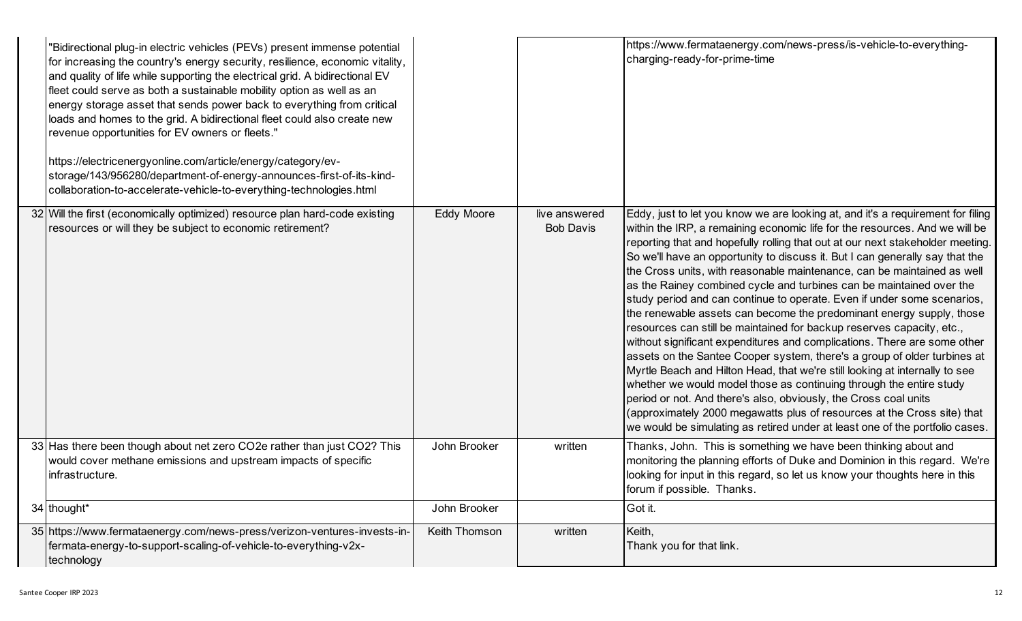| "Bidirectional plug-in electric vehicles (PEVs) present immense potential<br>for increasing the country's energy security, resilience, economic vitality,<br>and quality of life while supporting the electrical grid. A bidirectional EV<br>fleet could serve as both a sustainable mobility option as well as an<br>energy storage asset that sends power back to everything from critical<br>loads and homes to the grid. A bidirectional fleet could also create new<br>revenue opportunities for EV owners or fleets."<br>https://electricenergyonline.com/article/energy/category/ev-<br>storage/143/956280/department-of-energy-announces-first-of-its-kind-<br>collaboration-to-accelerate-vehicle-to-everything-technologies.html |                   |                                   | https://www.fermataenergy.com/news-press/is-vehicle-to-everything-<br>charging-ready-for-prime-time                                                                                                                                                                                                                                                                                                                                                                                                                                                                                                                                                                                                                                                                                                                                                                                                                                                                                                                                                                                                                                                                                                                                                          |
|--------------------------------------------------------------------------------------------------------------------------------------------------------------------------------------------------------------------------------------------------------------------------------------------------------------------------------------------------------------------------------------------------------------------------------------------------------------------------------------------------------------------------------------------------------------------------------------------------------------------------------------------------------------------------------------------------------------------------------------------|-------------------|-----------------------------------|--------------------------------------------------------------------------------------------------------------------------------------------------------------------------------------------------------------------------------------------------------------------------------------------------------------------------------------------------------------------------------------------------------------------------------------------------------------------------------------------------------------------------------------------------------------------------------------------------------------------------------------------------------------------------------------------------------------------------------------------------------------------------------------------------------------------------------------------------------------------------------------------------------------------------------------------------------------------------------------------------------------------------------------------------------------------------------------------------------------------------------------------------------------------------------------------------------------------------------------------------------------|
| 32 Will the first (economically optimized) resource plan hard-code existing<br>resources or will they be subject to economic retirement?                                                                                                                                                                                                                                                                                                                                                                                                                                                                                                                                                                                                   | <b>Eddy Moore</b> | live answered<br><b>Bob Davis</b> | Eddy, just to let you know we are looking at, and it's a requirement for filing<br>within the IRP, a remaining economic life for the resources. And we will be<br>reporting that and hopefully rolling that out at our next stakeholder meeting.<br>So we'll have an opportunity to discuss it. But I can generally say that the<br>the Cross units, with reasonable maintenance, can be maintained as well<br>as the Rainey combined cycle and turbines can be maintained over the<br>study period and can continue to operate. Even if under some scenarios,<br>the renewable assets can become the predominant energy supply, those<br>resources can still be maintained for backup reserves capacity, etc.,<br>without significant expenditures and complications. There are some other<br>assets on the Santee Cooper system, there's a group of older turbines at<br>Myrtle Beach and Hilton Head, that we're still looking at internally to see<br>whether we would model those as continuing through the entire study<br>period or not. And there's also, obviously, the Cross coal units<br>(approximately 2000 megawatts plus of resources at the Cross site) that<br>we would be simulating as retired under at least one of the portfolio cases. |
| 33 Has there been though about net zero CO2e rather than just CO2? This<br>would cover methane emissions and upstream impacts of specific<br>infrastructure.                                                                                                                                                                                                                                                                                                                                                                                                                                                                                                                                                                               | John Brooker      | written                           | Thanks, John. This is something we have been thinking about and<br>monitoring the planning efforts of Duke and Dominion in this regard. We're<br>looking for input in this regard, so let us know your thoughts here in this<br>forum if possible. Thanks.                                                                                                                                                                                                                                                                                                                                                                                                                                                                                                                                                                                                                                                                                                                                                                                                                                                                                                                                                                                                   |
| 34 thought*                                                                                                                                                                                                                                                                                                                                                                                                                                                                                                                                                                                                                                                                                                                                | John Brooker      |                                   | Got it.                                                                                                                                                                                                                                                                                                                                                                                                                                                                                                                                                                                                                                                                                                                                                                                                                                                                                                                                                                                                                                                                                                                                                                                                                                                      |
| 35 https://www.fermataenergy.com/news-press/verizon-ventures-invests-in-<br>fermata-energy-to-support-scaling-of-vehicle-to-everything-v2x-<br>technology                                                                                                                                                                                                                                                                                                                                                                                                                                                                                                                                                                                  | Keith Thomson     | written                           | Keith,<br>Thank you for that link.                                                                                                                                                                                                                                                                                                                                                                                                                                                                                                                                                                                                                                                                                                                                                                                                                                                                                                                                                                                                                                                                                                                                                                                                                           |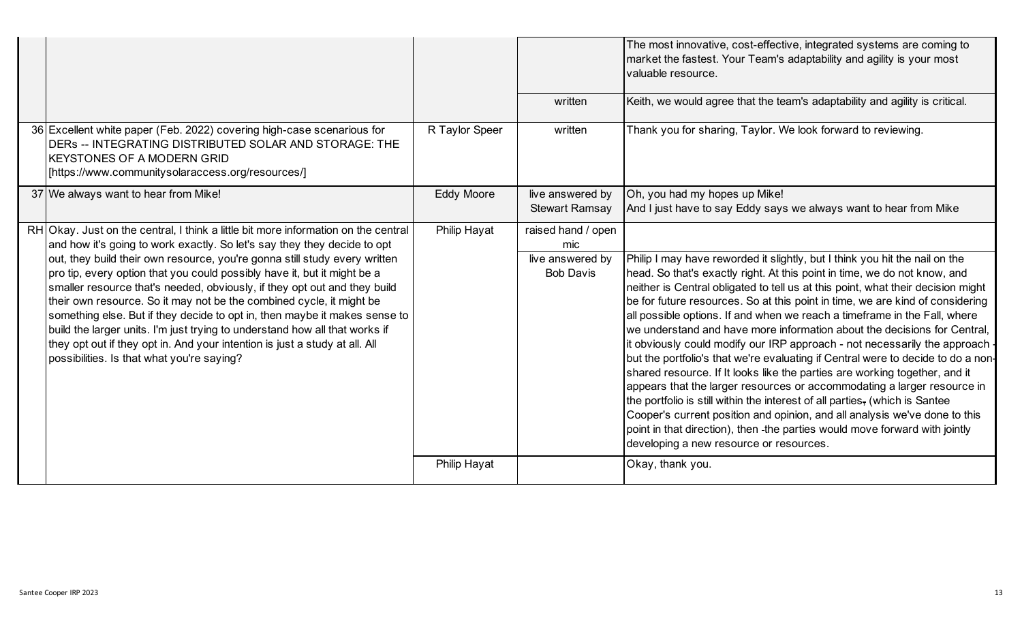|                                                                                                                                                                                                                                                                                                                                                                                                                                                                                                                                                                                                                                                                                                                                                                         |                     |                                                                   | The most innovative, cost-effective, integrated systems are coming to<br>market the fastest. Your Team's adaptability and agility is your most<br>valuable resource.                                                                                                                                                                                                                                                                                                                                                                                                                                                                                                                                                                                                                                                                                                                                                                                                                                                                                                                                    |
|-------------------------------------------------------------------------------------------------------------------------------------------------------------------------------------------------------------------------------------------------------------------------------------------------------------------------------------------------------------------------------------------------------------------------------------------------------------------------------------------------------------------------------------------------------------------------------------------------------------------------------------------------------------------------------------------------------------------------------------------------------------------------|---------------------|-------------------------------------------------------------------|---------------------------------------------------------------------------------------------------------------------------------------------------------------------------------------------------------------------------------------------------------------------------------------------------------------------------------------------------------------------------------------------------------------------------------------------------------------------------------------------------------------------------------------------------------------------------------------------------------------------------------------------------------------------------------------------------------------------------------------------------------------------------------------------------------------------------------------------------------------------------------------------------------------------------------------------------------------------------------------------------------------------------------------------------------------------------------------------------------|
|                                                                                                                                                                                                                                                                                                                                                                                                                                                                                                                                                                                                                                                                                                                                                                         |                     | written                                                           | Keith, we would agree that the team's adaptability and agility is critical.                                                                                                                                                                                                                                                                                                                                                                                                                                                                                                                                                                                                                                                                                                                                                                                                                                                                                                                                                                                                                             |
| 36 Excellent white paper (Feb. 2022) covering high-case scenarious for<br>DERS -- INTEGRATING DISTRIBUTED SOLAR AND STORAGE: THE<br><b>KEYSTONES OF A MODERN GRID</b><br>[/https://www.communitysolaraccess.org/resources]                                                                                                                                                                                                                                                                                                                                                                                                                                                                                                                                              | R Taylor Speer      | written                                                           | Thank you for sharing, Taylor. We look forward to reviewing.                                                                                                                                                                                                                                                                                                                                                                                                                                                                                                                                                                                                                                                                                                                                                                                                                                                                                                                                                                                                                                            |
| 37 We always want to hear from Mike!                                                                                                                                                                                                                                                                                                                                                                                                                                                                                                                                                                                                                                                                                                                                    | <b>Eddy Moore</b>   | live answered by<br><b>Stewart Ramsay</b>                         | Oh, you had my hopes up Mike!<br>And I just have to say Eddy says we always want to hear from Mike                                                                                                                                                                                                                                                                                                                                                                                                                                                                                                                                                                                                                                                                                                                                                                                                                                                                                                                                                                                                      |
| RH Okay. Just on the central, I think a little bit more information on the central<br>and how it's going to work exactly. So let's say they they decide to opt<br>out, they build their own resource, you're gonna still study every written<br>pro tip, every option that you could possibly have it, but it might be a<br>smaller resource that's needed, obviously, if they opt out and they build<br>their own resource. So it may not be the combined cycle, it might be<br>something else. But if they decide to opt in, then maybe it makes sense to<br>build the larger units. I'm just trying to understand how all that works if<br>they opt out if they opt in. And your intention is just a study at all. All<br>possibilities. Is that what you're saying? | Philip Hayat        | raised hand / open<br>mic<br>live answered by<br><b>Bob Davis</b> | Philip I may have reworded it slightly, but I think you hit the nail on the<br>head. So that's exactly right. At this point in time, we do not know, and<br>neither is Central obligated to tell us at this point, what their decision might<br>be for future resources. So at this point in time, we are kind of considering<br>all possible options. If and when we reach a timeframe in the Fall, where<br>we understand and have more information about the decisions for Central,<br>it obviously could modify our IRP approach - not necessarily the approach<br>but the portfolio's that we're evaluating if Central were to decide to do a non-<br>shared resource. If It looks like the parties are working together, and it<br>appears that the larger resources or accommodating a larger resource in<br>the portfolio is still within the interest of all parties, (which is Santee<br>Cooper's current position and opinion, and all analysis we've done to this<br>point in that direction), then -the parties would move forward with jointly<br>developing a new resource or resources. |
|                                                                                                                                                                                                                                                                                                                                                                                                                                                                                                                                                                                                                                                                                                                                                                         | <b>Philip Hayat</b> |                                                                   | Okay, thank you.                                                                                                                                                                                                                                                                                                                                                                                                                                                                                                                                                                                                                                                                                                                                                                                                                                                                                                                                                                                                                                                                                        |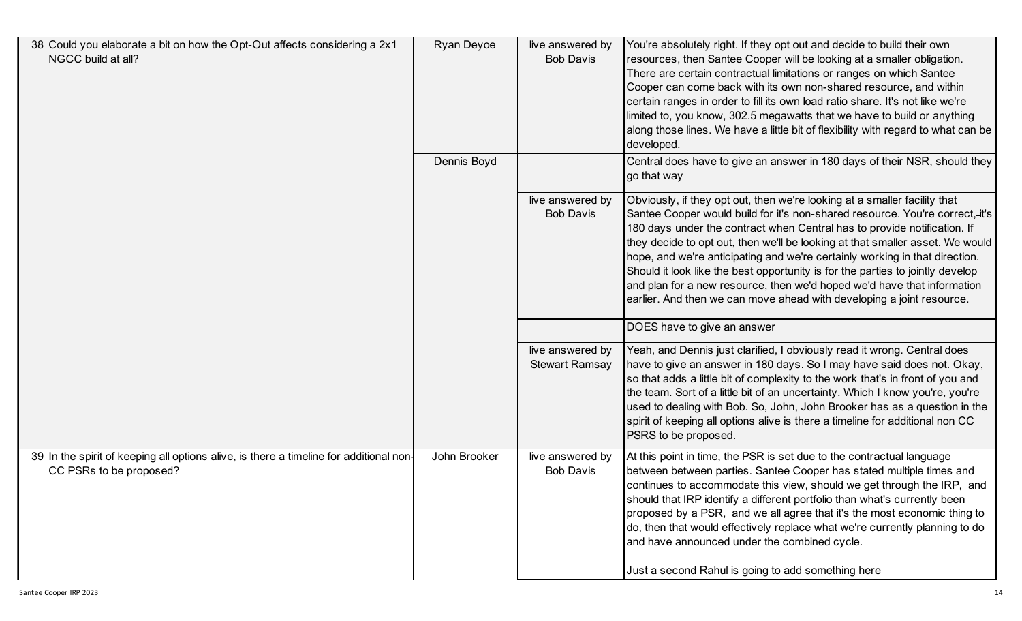| 38 Could you elaborate a bit on how the Opt-Out affects considering a 2x1<br>NGCC build at all?                   | Ryan Deyoe   | live answered by<br><b>Bob Davis</b>      | You're absolutely right. If they opt out and decide to build their own<br>resources, then Santee Cooper will be looking at a smaller obligation.<br>There are certain contractual limitations or ranges on which Santee<br>Cooper can come back with its own non-shared resource, and within<br>certain ranges in order to fill its own load ratio share. It's not like we're<br>limited to, you know, 302.5 megawatts that we have to build or anything<br>along those lines. We have a little bit of flexibility with regard to what can be<br>developed.                                                                                 |
|-------------------------------------------------------------------------------------------------------------------|--------------|-------------------------------------------|---------------------------------------------------------------------------------------------------------------------------------------------------------------------------------------------------------------------------------------------------------------------------------------------------------------------------------------------------------------------------------------------------------------------------------------------------------------------------------------------------------------------------------------------------------------------------------------------------------------------------------------------|
|                                                                                                                   | Dennis Boyd  |                                           | Central does have to give an answer in 180 days of their NSR, should they<br>go that way                                                                                                                                                                                                                                                                                                                                                                                                                                                                                                                                                    |
|                                                                                                                   |              | live answered by<br><b>Bob Davis</b>      | Obviously, if they opt out, then we're looking at a smaller facility that<br>Santee Cooper would build for it's non-shared resource. You're correct, it's<br>180 days under the contract when Central has to provide notification. If<br>they decide to opt out, then we'll be looking at that smaller asset. We would<br>hope, and we're anticipating and we're certainly working in that direction.<br>Should it look like the best opportunity is for the parties to jointly develop<br>and plan for a new resource, then we'd hoped we'd have that information<br>earlier. And then we can move ahead with developing a joint resource. |
|                                                                                                                   |              |                                           | DOES have to give an answer                                                                                                                                                                                                                                                                                                                                                                                                                                                                                                                                                                                                                 |
|                                                                                                                   |              | live answered by<br><b>Stewart Ramsay</b> | Yeah, and Dennis just clarified, I obviously read it wrong. Central does<br>have to give an answer in 180 days. So I may have said does not. Okay,<br>so that adds a little bit of complexity to the work that's in front of you and<br>the team. Sort of a little bit of an uncertainty. Which I know you're, you're<br>used to dealing with Bob. So, John, John Brooker has as a question in the<br>spirit of keeping all options alive is there a timeline for additional non CC<br><b>PSRS</b> to be proposed.                                                                                                                          |
| 39 In the spirit of keeping all options alive, is there a timeline for additional non-<br>CC PSRs to be proposed? | John Brooker | live answered by<br><b>Bob Davis</b>      | At this point in time, the PSR is set due to the contractual language<br>between between parties. Santee Cooper has stated multiple times and<br>continues to accommodate this view, should we get through the IRP, and<br>should that IRP identify a different portfolio than what's currently been<br>proposed by a PSR, and we all agree that it's the most economic thing to<br>do, then that would effectively replace what we're currently planning to do<br>and have announced under the combined cycle.<br>Just a second Rahul is going to add something here                                                                       |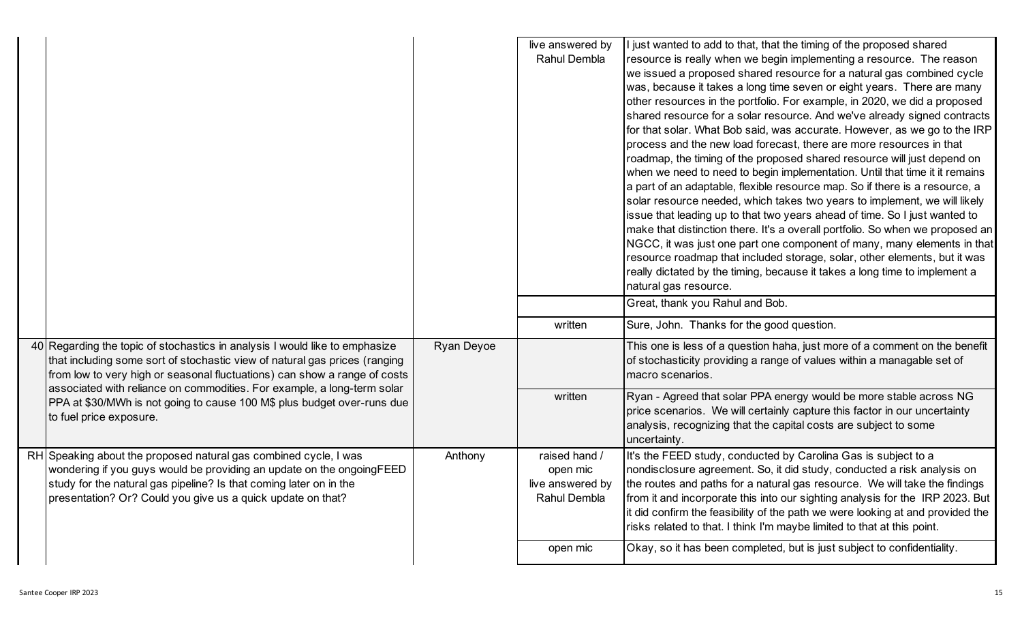|                                                                                                                                                                                                                                                                                |            | live answered by<br>Rahul Dembla                                          | I just wanted to add to that, that the timing of the proposed shared<br>resource is really when we begin implementing a resource. The reason<br>we issued a proposed shared resource for a natural gas combined cycle<br>was, because it takes a long time seven or eight years. There are many<br>other resources in the portfolio. For example, in 2020, we did a proposed<br>shared resource for a solar resource. And we've already signed contracts<br>for that solar. What Bob said, was accurate. However, as we go to the IRP<br>process and the new load forecast, there are more resources in that<br>roadmap, the timing of the proposed shared resource will just depend on<br>when we need to need to begin implementation. Until that time it it remains<br>a part of an adaptable, flexible resource map. So if there is a resource, a<br>solar resource needed, which takes two years to implement, we will likely<br>issue that leading up to that two years ahead of time. So I just wanted to<br>make that distinction there. It's a overall portfolio. So when we proposed an<br>NGCC, it was just one part one component of many, many elements in that<br>resource roadmap that included storage, solar, other elements, but it was<br>really dictated by the timing, because it takes a long time to implement a<br>natural gas resource.<br>Great, thank you Rahul and Bob. |
|--------------------------------------------------------------------------------------------------------------------------------------------------------------------------------------------------------------------------------------------------------------------------------|------------|---------------------------------------------------------------------------|-----------------------------------------------------------------------------------------------------------------------------------------------------------------------------------------------------------------------------------------------------------------------------------------------------------------------------------------------------------------------------------------------------------------------------------------------------------------------------------------------------------------------------------------------------------------------------------------------------------------------------------------------------------------------------------------------------------------------------------------------------------------------------------------------------------------------------------------------------------------------------------------------------------------------------------------------------------------------------------------------------------------------------------------------------------------------------------------------------------------------------------------------------------------------------------------------------------------------------------------------------------------------------------------------------------------------------------------------------------------------------------------------------|
|                                                                                                                                                                                                                                                                                |            | written                                                                   | Sure, John. Thanks for the good question.                                                                                                                                                                                                                                                                                                                                                                                                                                                                                                                                                                                                                                                                                                                                                                                                                                                                                                                                                                                                                                                                                                                                                                                                                                                                                                                                                           |
| 40 Regarding the topic of stochastics in analysis I would like to emphasize<br>that including some sort of stochastic view of natural gas prices (ranging<br>from low to very high or seasonal fluctuations) can show a range of costs                                         | Ryan Deyoe |                                                                           | This one is less of a question haha, just more of a comment on the benefit<br>of stochasticity providing a range of values within a managable set of<br>macro scenarios.                                                                                                                                                                                                                                                                                                                                                                                                                                                                                                                                                                                                                                                                                                                                                                                                                                                                                                                                                                                                                                                                                                                                                                                                                            |
| associated with reliance on commodities. For example, a long-term solar<br>PPA at \$30/MWh is not going to cause 100 M\$ plus budget over-runs due<br>to fuel price exposure.                                                                                                  |            | written                                                                   | Ryan - Agreed that solar PPA energy would be more stable across NG<br>price scenarios. We will certainly capture this factor in our uncertainty<br>analysis, recognizing that the capital costs are subject to some<br>uncertainty.                                                                                                                                                                                                                                                                                                                                                                                                                                                                                                                                                                                                                                                                                                                                                                                                                                                                                                                                                                                                                                                                                                                                                                 |
| RH Speaking about the proposed natural gas combined cycle, I was<br>wondering if you guys would be providing an update on the ongoingFEED<br>study for the natural gas pipeline? Is that coming later on in the<br>presentation? Or? Could you give us a quick update on that? | Anthony    | raised hand /<br>open mic<br>live answered by<br>Rahul Dembla<br>open mic | It's the FEED study, conducted by Carolina Gas is subject to a<br>nondisclosure agreement. So, it did study, conducted a risk analysis on<br>the routes and paths for a natural gas resource. We will take the findings<br>from it and incorporate this into our sighting analysis for the IRP 2023. But<br>it did confirm the feasibility of the path we were looking at and provided the<br>risks related to that. I think I'm maybe limited to that at this point.<br>Okay, so it has been completed, but is just subject to confidentiality.                                                                                                                                                                                                                                                                                                                                                                                                                                                                                                                                                                                                                                                                                                                                                                                                                                                    |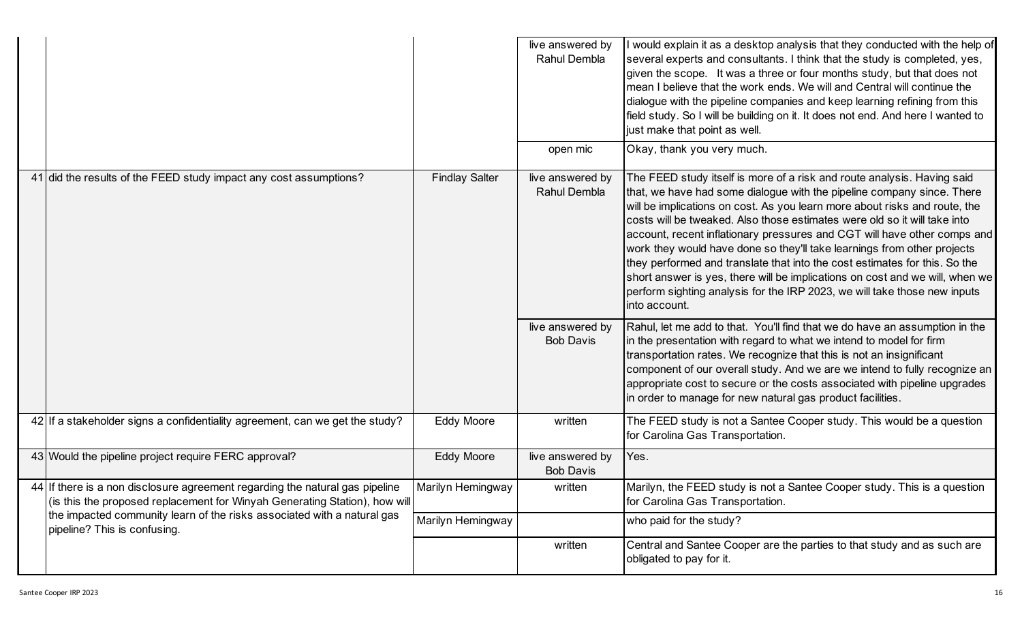|                                                                                                                                                            |                       | live answered by<br>Rahul Dembla     | would explain it as a desktop analysis that they conducted with the help of<br>several experts and consultants. I think that the study is completed, yes,<br>given the scope. It was a three or four months study, but that does not<br>mean I believe that the work ends. We will and Central will continue the<br>dialogue with the pipeline companies and keep learning refining from this<br>field study. So I will be building on it. It does not end. And here I wanted to<br>just make that point as well.                                                                                                                                                                                                               |
|------------------------------------------------------------------------------------------------------------------------------------------------------------|-----------------------|--------------------------------------|---------------------------------------------------------------------------------------------------------------------------------------------------------------------------------------------------------------------------------------------------------------------------------------------------------------------------------------------------------------------------------------------------------------------------------------------------------------------------------------------------------------------------------------------------------------------------------------------------------------------------------------------------------------------------------------------------------------------------------|
|                                                                                                                                                            |                       | open mic                             | Okay, thank you very much.                                                                                                                                                                                                                                                                                                                                                                                                                                                                                                                                                                                                                                                                                                      |
| 41 did the results of the FEED study impact any cost assumptions?                                                                                          | <b>Findlay Salter</b> | live answered by<br>Rahul Dembla     | The FEED study itself is more of a risk and route analysis. Having said<br>that, we have had some dialogue with the pipeline company since. There<br>will be implications on cost. As you learn more about risks and route, the<br>costs will be tweaked. Also those estimates were old so it will take into<br>account, recent inflationary pressures and CGT will have other comps and<br>work they would have done so they'll take learnings from other projects<br>they performed and translate that into the cost estimates for this. So the<br>short answer is yes, there will be implications on cost and we will, when we<br>perform sighting analysis for the IRP 2023, we will take those new inputs<br>into account. |
|                                                                                                                                                            |                       | live answered by<br><b>Bob Davis</b> | Rahul, let me add to that. You'll find that we do have an assumption in the<br>in the presentation with regard to what we intend to model for firm<br>transportation rates. We recognize that this is not an insignificant<br>component of our overall study. And we are we intend to fully recognize an<br>appropriate cost to secure or the costs associated with pipeline upgrades<br>in order to manage for new natural gas product facilities.                                                                                                                                                                                                                                                                             |
| 42 If a stakeholder signs a confidentiality agreement, can we get the study?                                                                               | <b>Eddy Moore</b>     | written                              | The FEED study is not a Santee Cooper study. This would be a question<br>for Carolina Gas Transportation.                                                                                                                                                                                                                                                                                                                                                                                                                                                                                                                                                                                                                       |
| 43 Would the pipeline project require FERC approval?                                                                                                       | <b>Eddy Moore</b>     | live answered by<br><b>Bob Davis</b> | Yes.                                                                                                                                                                                                                                                                                                                                                                                                                                                                                                                                                                                                                                                                                                                            |
| 44 If there is a non disclosure agreement regarding the natural gas pipeline<br>(is this the proposed replacement for Winyah Generating Station), how will | Marilyn Hemingway     | written                              | Marilyn, the FEED study is not a Santee Cooper study. This is a question<br>for Carolina Gas Transportation.                                                                                                                                                                                                                                                                                                                                                                                                                                                                                                                                                                                                                    |
| the impacted community learn of the risks associated with a natural gas<br>pipeline? This is confusing.                                                    | Marilyn Hemingway     |                                      | who paid for the study?                                                                                                                                                                                                                                                                                                                                                                                                                                                                                                                                                                                                                                                                                                         |
|                                                                                                                                                            |                       | written                              | Central and Santee Cooper are the parties to that study and as such are<br>obligated to pay for it.                                                                                                                                                                                                                                                                                                                                                                                                                                                                                                                                                                                                                             |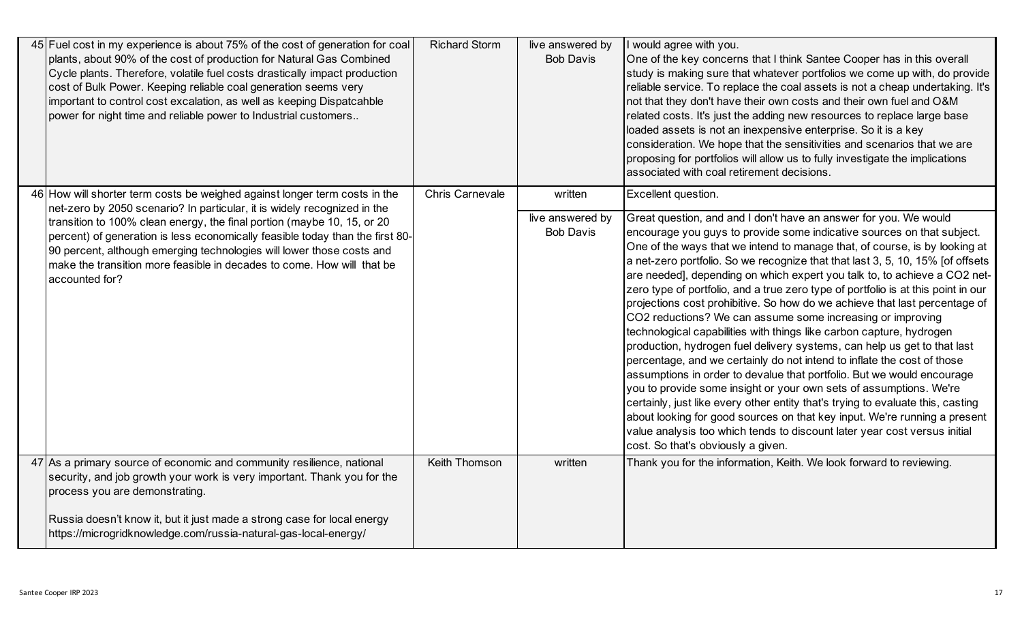| 45 Fuel cost in my experience is about 75% of the cost of generation for coal<br>plants, about 90% of the cost of production for Natural Gas Combined<br>Cycle plants. Therefore, volatile fuel costs drastically impact production<br>cost of Bulk Power. Keeping reliable coal generation seems very<br>important to control cost excalation, as well as keeping Dispatcahble<br>power for night time and reliable power to Industrial customers | <b>Richard Storm</b> | live answered by<br><b>Bob Davis</b> | I would agree with you.<br>One of the key concerns that I think Santee Cooper has in this overall<br>study is making sure that whatever portfolios we come up with, do provide<br>reliable service. To replace the coal assets is not a cheap undertaking. It's<br>not that they don't have their own costs and their own fuel and O&M<br>related costs. It's just the adding new resources to replace large base<br>loaded assets is not an inexpensive enterprise. So it is a key<br>consideration. We hope that the sensitivities and scenarios that we are<br>proposing for portfolios will allow us to fully investigate the implications<br>associated with coal retirement decisions.                                                                                                                                                                                                                                                                                                                                                                                                                                                                                                                           |
|----------------------------------------------------------------------------------------------------------------------------------------------------------------------------------------------------------------------------------------------------------------------------------------------------------------------------------------------------------------------------------------------------------------------------------------------------|----------------------|--------------------------------------|------------------------------------------------------------------------------------------------------------------------------------------------------------------------------------------------------------------------------------------------------------------------------------------------------------------------------------------------------------------------------------------------------------------------------------------------------------------------------------------------------------------------------------------------------------------------------------------------------------------------------------------------------------------------------------------------------------------------------------------------------------------------------------------------------------------------------------------------------------------------------------------------------------------------------------------------------------------------------------------------------------------------------------------------------------------------------------------------------------------------------------------------------------------------------------------------------------------------|
| 46 How will shorter term costs be weighed against longer term costs in the<br>net-zero by 2050 scenario? In particular, it is widely recognized in the<br>transition to 100% clean energy, the final portion (maybe 10, 15, or 20                                                                                                                                                                                                                  | Chris Carnevale      | written<br>live answered by          | Excellent question.<br>Great question, and and I don't have an answer for you. We would                                                                                                                                                                                                                                                                                                                                                                                                                                                                                                                                                                                                                                                                                                                                                                                                                                                                                                                                                                                                                                                                                                                                |
| percent) of generation is less economically feasible today than the first 80-<br>90 percent, although emerging technologies will lower those costs and<br>make the transition more feasible in decades to come. How will that be<br>accounted for?                                                                                                                                                                                                 |                      | <b>Bob Davis</b>                     | encourage you guys to provide some indicative sources on that subject.<br>One of the ways that we intend to manage that, of course, is by looking at<br>a net-zero portfolio. So we recognize that that last 3, 5, 10, 15% [of offsets<br>are needed], depending on which expert you talk to, to achieve a CO2 net-<br>zero type of portfolio, and a true zero type of portfolio is at this point in our<br>projections cost prohibitive. So how do we achieve that last percentage of<br>CO2 reductions? We can assume some increasing or improving<br>technological capabilities with things like carbon capture, hydrogen<br>production, hydrogen fuel delivery systems, can help us get to that last<br>percentage, and we certainly do not intend to inflate the cost of those<br>assumptions in order to devalue that portfolio. But we would encourage<br>you to provide some insight or your own sets of assumptions. We're<br>certainly, just like every other entity that's trying to evaluate this, casting<br>about looking for good sources on that key input. We're running a present<br>value analysis too which tends to discount later year cost versus initial<br>cost. So that's obviously a given. |
| 47 As a primary source of economic and community resilience, national<br>security, and job growth your work is very important. Thank you for the<br>process you are demonstrating.                                                                                                                                                                                                                                                                 | Keith Thomson        | written                              | Thank you for the information, Keith. We look forward to reviewing.                                                                                                                                                                                                                                                                                                                                                                                                                                                                                                                                                                                                                                                                                                                                                                                                                                                                                                                                                                                                                                                                                                                                                    |
| Russia doesn't know it, but it just made a strong case for local energy<br>https://microgridknowledge.com/russia-natural-gas-local-energy/                                                                                                                                                                                                                                                                                                         |                      |                                      |                                                                                                                                                                                                                                                                                                                                                                                                                                                                                                                                                                                                                                                                                                                                                                                                                                                                                                                                                                                                                                                                                                                                                                                                                        |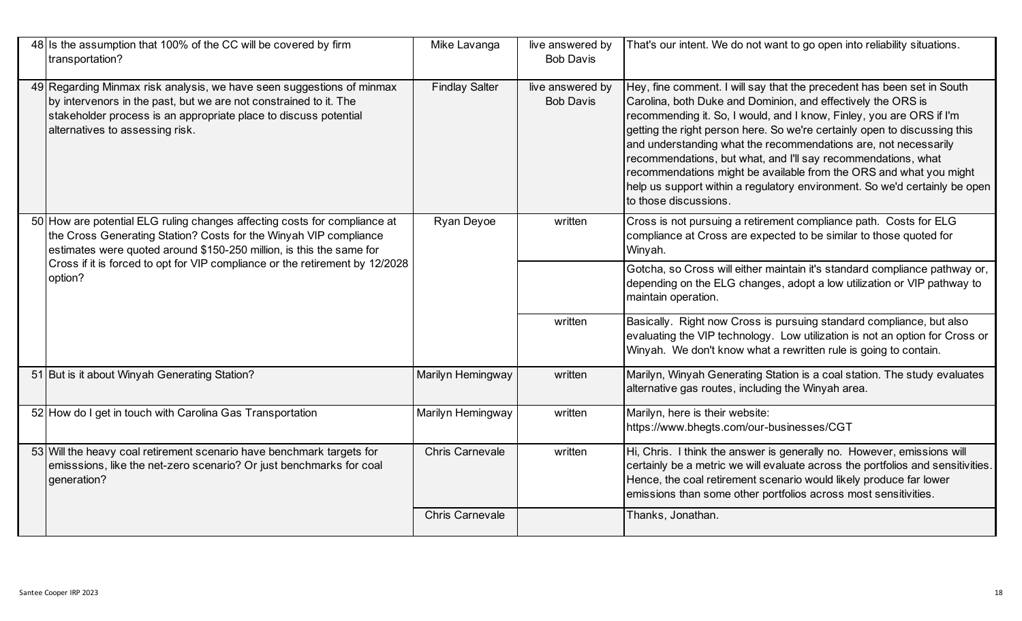| 48 Is the assumption that 100% of the CC will be covered by firm<br>transportation?                                                                                                                                                               | Mike Lavanga           | live answered by<br><b>Bob Davis</b> | That's our intent. We do not want to go open into reliability situations.                                                                                                                                                                                                                                                                                                                                                                                                                                                                                                                                    |
|---------------------------------------------------------------------------------------------------------------------------------------------------------------------------------------------------------------------------------------------------|------------------------|--------------------------------------|--------------------------------------------------------------------------------------------------------------------------------------------------------------------------------------------------------------------------------------------------------------------------------------------------------------------------------------------------------------------------------------------------------------------------------------------------------------------------------------------------------------------------------------------------------------------------------------------------------------|
| 49 Regarding Minmax risk analysis, we have seen suggestions of minmax<br>by intervenors in the past, but we are not constrained to it. The<br>stakeholder process is an appropriate place to discuss potential<br>alternatives to assessing risk. | <b>Findlay Salter</b>  | live answered by<br><b>Bob Davis</b> | Hey, fine comment. I will say that the precedent has been set in South<br>Carolina, both Duke and Dominion, and effectively the ORS is<br>recommending it. So, I would, and I know, Finley, you are ORS if I'm<br>getting the right person here. So we're certainly open to discussing this<br>and understanding what the recommendations are, not necessarily<br>recommendations, but what, and I'll say recommendations, what<br>recommendations might be available from the ORS and what you might<br>help us support within a regulatory environment. So we'd certainly be open<br>to those discussions. |
| 50 How are potential ELG ruling changes affecting costs for compliance at<br>the Cross Generating Station? Costs for the Winyah VIP compliance<br>estimates were quoted around \$150-250 million, is this the same for                            | Ryan Deyoe             | written                              | Cross is not pursuing a retirement compliance path. Costs for ELG<br>compliance at Cross are expected to be similar to those quoted for<br>Winyah.                                                                                                                                                                                                                                                                                                                                                                                                                                                           |
| Cross if it is forced to opt for VIP compliance or the retirement by 12/2028<br>option?                                                                                                                                                           |                        |                                      | Gotcha, so Cross will either maintain it's standard compliance pathway or,<br>depending on the ELG changes, adopt a low utilization or VIP pathway to<br>maintain operation.                                                                                                                                                                                                                                                                                                                                                                                                                                 |
|                                                                                                                                                                                                                                                   |                        | written                              | Basically. Right now Cross is pursuing standard compliance, but also<br>evaluating the VIP technology. Low utilization is not an option for Cross or<br>Winyah. We don't know what a rewritten rule is going to contain.                                                                                                                                                                                                                                                                                                                                                                                     |
| 51 But is it about Winyah Generating Station?                                                                                                                                                                                                     | Marilyn Hemingway      | written                              | Marilyn, Winyah Generating Station is a coal station. The study evaluates<br>alternative gas routes, including the Winyah area.                                                                                                                                                                                                                                                                                                                                                                                                                                                                              |
| 52 How do I get in touch with Carolina Gas Transportation                                                                                                                                                                                         | Marilyn Hemingway      | written                              | Marilyn, here is their website:<br>https://www.bhegts.com/our-businesses/CGT                                                                                                                                                                                                                                                                                                                                                                                                                                                                                                                                 |
| 53 Will the heavy coal retirement scenario have benchmark targets for<br>emisssions, like the net-zero scenario? Or just benchmarks for coal<br>generation?                                                                                       | <b>Chris Carnevale</b> | written                              | Hi, Chris. I think the answer is generally no. However, emissions will<br>certainly be a metric we will evaluate across the portfolios and sensitivities.<br>Hence, the coal retirement scenario would likely produce far lower<br>emissions than some other portfolios across most sensitivities.                                                                                                                                                                                                                                                                                                           |
|                                                                                                                                                                                                                                                   | <b>Chris Carnevale</b> |                                      | Thanks, Jonathan.                                                                                                                                                                                                                                                                                                                                                                                                                                                                                                                                                                                            |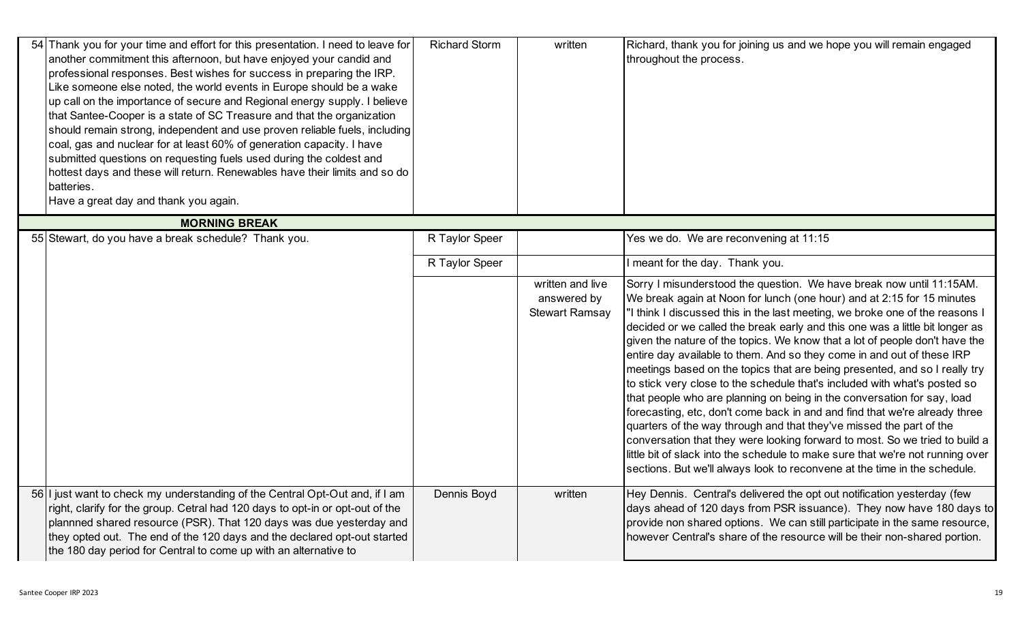| 54 Thank you for your time and effort for this presentation. I need to leave for<br>another commitment this afternoon, but have enjoyed your candid and<br>professional responses. Best wishes for success in preparing the IRP.<br>Like someone else noted, the world events in Europe should be a wake<br>up call on the importance of secure and Regional energy supply. I believe<br>that Santee-Cooper is a state of SC Treasure and that the organization<br>should remain strong, independent and use proven reliable fuels, including<br>coal, gas and nuclear for at least 60% of generation capacity. I have<br>submitted questions on requesting fuels used during the coldest and<br>hottest days and these will return. Renewables have their limits and so do<br>batteries.<br>Have a great day and thank you again. | <b>Richard Storm</b> | written                                                  | Richard, thank you for joining us and we hope you will remain engaged<br>throughout the process.                                                                                                                                                                                                                                                                                                                                                                                                                                                                                                                                                                                                                                                                                                                                                                                                                                                                                                                                                                                                                 |
|------------------------------------------------------------------------------------------------------------------------------------------------------------------------------------------------------------------------------------------------------------------------------------------------------------------------------------------------------------------------------------------------------------------------------------------------------------------------------------------------------------------------------------------------------------------------------------------------------------------------------------------------------------------------------------------------------------------------------------------------------------------------------------------------------------------------------------|----------------------|----------------------------------------------------------|------------------------------------------------------------------------------------------------------------------------------------------------------------------------------------------------------------------------------------------------------------------------------------------------------------------------------------------------------------------------------------------------------------------------------------------------------------------------------------------------------------------------------------------------------------------------------------------------------------------------------------------------------------------------------------------------------------------------------------------------------------------------------------------------------------------------------------------------------------------------------------------------------------------------------------------------------------------------------------------------------------------------------------------------------------------------------------------------------------------|
| <b>MORNING BREAK</b>                                                                                                                                                                                                                                                                                                                                                                                                                                                                                                                                                                                                                                                                                                                                                                                                               |                      |                                                          |                                                                                                                                                                                                                                                                                                                                                                                                                                                                                                                                                                                                                                                                                                                                                                                                                                                                                                                                                                                                                                                                                                                  |
| 55 Stewart, do you have a break schedule? Thank you.                                                                                                                                                                                                                                                                                                                                                                                                                                                                                                                                                                                                                                                                                                                                                                               | R Taylor Speer       |                                                          | Yes we do. We are reconvening at 11:15                                                                                                                                                                                                                                                                                                                                                                                                                                                                                                                                                                                                                                                                                                                                                                                                                                                                                                                                                                                                                                                                           |
|                                                                                                                                                                                                                                                                                                                                                                                                                                                                                                                                                                                                                                                                                                                                                                                                                                    | R Taylor Speer       |                                                          | I meant for the day. Thank you.                                                                                                                                                                                                                                                                                                                                                                                                                                                                                                                                                                                                                                                                                                                                                                                                                                                                                                                                                                                                                                                                                  |
|                                                                                                                                                                                                                                                                                                                                                                                                                                                                                                                                                                                                                                                                                                                                                                                                                                    |                      | written and live<br>answered by<br><b>Stewart Ramsay</b> | Sorry I misunderstood the question. We have break now until 11:15AM.<br>We break again at Noon for lunch (one hour) and at 2:15 for 15 minutes<br>'I think I discussed this in the last meeting, we broke one of the reasons I<br>decided or we called the break early and this one was a little bit longer as<br>given the nature of the topics. We know that a lot of people don't have the<br>entire day available to them. And so they come in and out of these IRP<br>meetings based on the topics that are being presented, and so I really try<br>to stick very close to the schedule that's included with what's posted so<br>that people who are planning on being in the conversation for say, load<br>forecasting, etc, don't come back in and and find that we're already three<br>quarters of the way through and that they've missed the part of the<br>conversation that they were looking forward to most. So we tried to build a<br>little bit of slack into the schedule to make sure that we're not running over<br>sections. But we'll always look to reconvene at the time in the schedule. |
| 56 I just want to check my understanding of the Central Opt-Out and, if I am<br>right, clarify for the group. Cetral had 120 days to opt-in or opt-out of the<br>plannned shared resource (PSR). That 120 days was due yesterday and<br>they opted out. The end of the 120 days and the declared opt-out started<br>the 180 day period for Central to come up with an alternative to                                                                                                                                                                                                                                                                                                                                                                                                                                               | Dennis Boyd          | written                                                  | Hey Dennis. Central's delivered the opt out notification yesterday (few<br>days ahead of 120 days from PSR issuance). They now have 180 days to<br>provide non shared options. We can still participate in the same resource,<br>however Central's share of the resource will be their non-shared portion.                                                                                                                                                                                                                                                                                                                                                                                                                                                                                                                                                                                                                                                                                                                                                                                                       |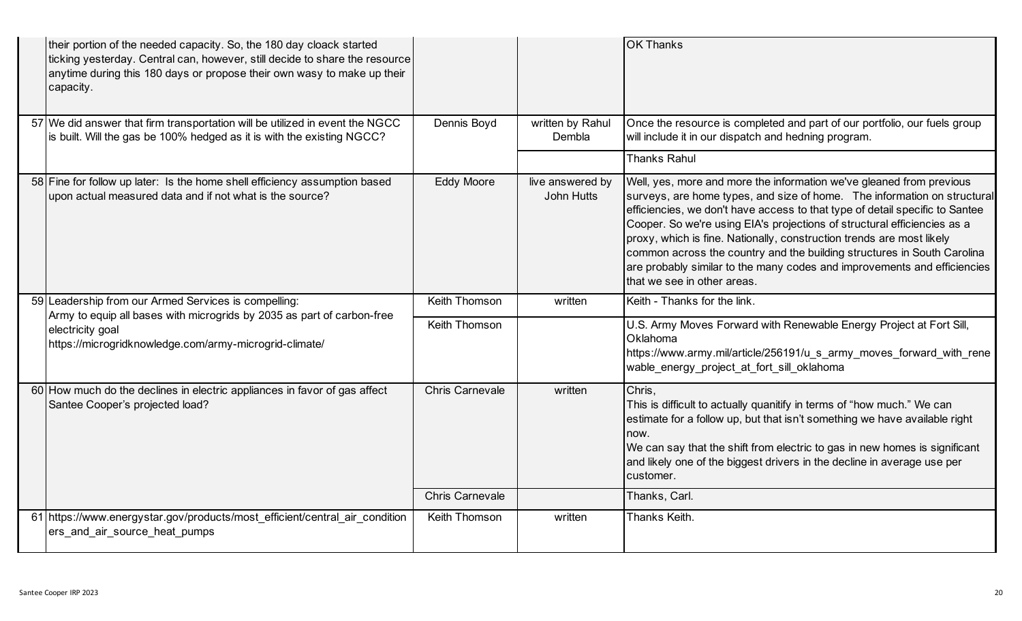| their portion of the needed capacity. So, the 180 day cloack started<br>ticking yesterday. Central can, however, still decide to share the resource<br>anytime during this 180 days or propose their own wasy to make up their<br>capacity. |                        |                                       | <b>OK Thanks</b>                                                                                                                                                                                                                                                                                                                                                                                                                                                                                                                                                            |
|---------------------------------------------------------------------------------------------------------------------------------------------------------------------------------------------------------------------------------------------|------------------------|---------------------------------------|-----------------------------------------------------------------------------------------------------------------------------------------------------------------------------------------------------------------------------------------------------------------------------------------------------------------------------------------------------------------------------------------------------------------------------------------------------------------------------------------------------------------------------------------------------------------------------|
| 57 We did answer that firm transportation will be utilized in event the NGCC<br>is built. Will the gas be 100% hedged as it is with the existing NGCC?                                                                                      | Dennis Boyd            | written by Rahul<br>Dembla            | Once the resource is completed and part of our portfolio, our fuels group<br>will include it in our dispatch and hedning program.                                                                                                                                                                                                                                                                                                                                                                                                                                           |
|                                                                                                                                                                                                                                             |                        |                                       | <b>Thanks Rahul</b>                                                                                                                                                                                                                                                                                                                                                                                                                                                                                                                                                         |
| 58 Fine for follow up later: Is the home shell efficiency assumption based<br>upon actual measured data and if not what is the source?                                                                                                      | <b>Eddy Moore</b>      | live answered by<br><b>John Hutts</b> | Well, yes, more and more the information we've gleaned from previous<br>surveys, are home types, and size of home. The information on structural<br>efficiencies, we don't have access to that type of detail specific to Santee<br>Cooper. So we're using EIA's projections of structural efficiencies as a<br>proxy, which is fine. Nationally, construction trends are most likely<br>common across the country and the building structures in South Carolina<br>are probably similar to the many codes and improvements and efficiencies<br>that we see in other areas. |
| 59 Leadership from our Armed Services is compelling:                                                                                                                                                                                        | Keith Thomson          | written                               | Keith - Thanks for the link.                                                                                                                                                                                                                                                                                                                                                                                                                                                                                                                                                |
| Army to equip all bases with microgrids by 2035 as part of carbon-free<br>electricity goal<br>https://microgridknowledge.com/army-microgrid-climate/                                                                                        | Keith Thomson          |                                       | U.S. Army Moves Forward with Renewable Energy Project at Fort Sill,<br>Oklahoma<br>https://www.army.mil/article/256191/u_s_army_moves_forward_with_rene<br>wable energy project at fort sill oklahoma                                                                                                                                                                                                                                                                                                                                                                       |
| 60 How much do the declines in electric appliances in favor of gas affect<br>Santee Cooper's projected load?                                                                                                                                | <b>Chris Carnevale</b> | written                               | Chris,<br>This is difficult to actually quanitify in terms of "how much." We can<br>estimate for a follow up, but that isn't something we have available right<br>now.<br>We can say that the shift from electric to gas in new homes is significant<br>and likely one of the biggest drivers in the decline in average use per<br>customer.                                                                                                                                                                                                                                |
|                                                                                                                                                                                                                                             | <b>Chris Carnevale</b> |                                       | Thanks, Carl.                                                                                                                                                                                                                                                                                                                                                                                                                                                                                                                                                               |
| 61 https://www.energystar.gov/products/most efficient/central air condition<br>ers_and_air_source_heat_pumps                                                                                                                                | Keith Thomson          | written                               | Thanks Keith.                                                                                                                                                                                                                                                                                                                                                                                                                                                                                                                                                               |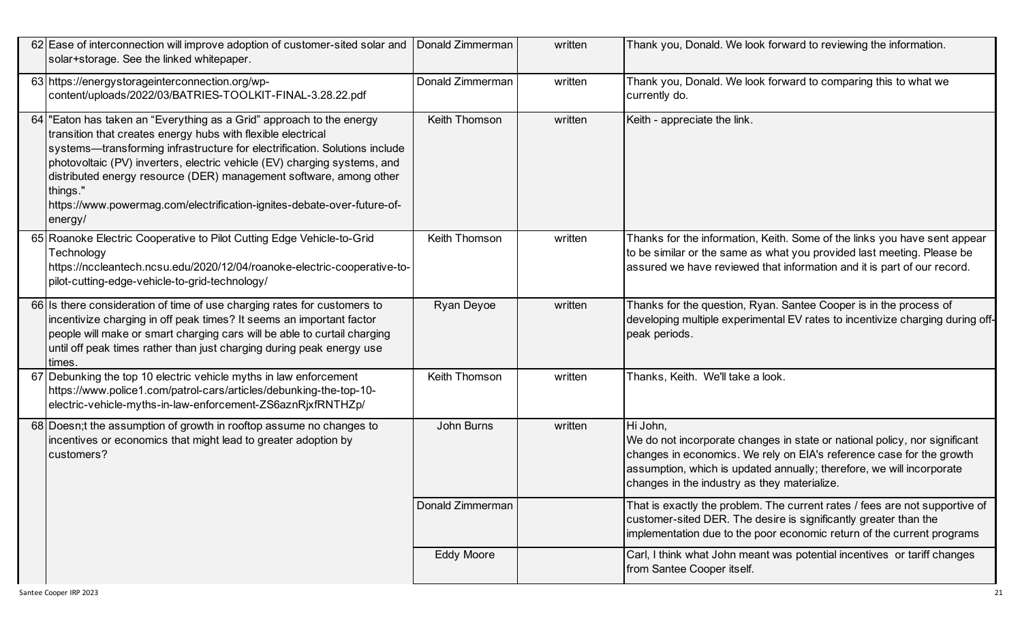| 62 Ease of interconnection will improve adoption of customer-sited solar and<br>solar+storage. See the linked whitepaper.                                                                                                                                                                                                                                                                                                                                             | Donald Zimmerman  | written | Thank you, Donald. We look forward to reviewing the information.                                                                                                                                                                                                                        |
|-----------------------------------------------------------------------------------------------------------------------------------------------------------------------------------------------------------------------------------------------------------------------------------------------------------------------------------------------------------------------------------------------------------------------------------------------------------------------|-------------------|---------|-----------------------------------------------------------------------------------------------------------------------------------------------------------------------------------------------------------------------------------------------------------------------------------------|
| 63 https://energystorageinterconnection.org/wp-<br>content/uploads/2022/03/BATRIES-TOOLKIT-FINAL-3.28.22.pdf                                                                                                                                                                                                                                                                                                                                                          | Donald Zimmerman  | written | Thank you, Donald. We look forward to comparing this to what we<br>currently do.                                                                                                                                                                                                        |
| 64 Eaton has taken an "Everything as a Grid" approach to the energy<br>transition that creates energy hubs with flexible electrical<br>systems-transforming infrastructure for electrification. Solutions include<br>photovoltaic (PV) inverters, electric vehicle (EV) charging systems, and<br>distributed energy resource (DER) management software, among other<br>things."<br>https://www.powermag.com/electrification-ignites-debate-over-future-of-<br>energy/ | Keith Thomson     | written | Keith - appreciate the link.                                                                                                                                                                                                                                                            |
| 65 Roanoke Electric Cooperative to Pilot Cutting Edge Vehicle-to-Grid<br>Technology<br>https://nccleantech.ncsu.edu/2020/12/04/roanoke-electric-cooperative-to-<br>pilot-cutting-edge-vehicle-to-grid-technology/                                                                                                                                                                                                                                                     | Keith Thomson     | written | Thanks for the information, Keith. Some of the links you have sent appear<br>to be similar or the same as what you provided last meeting. Please be<br>assured we have reviewed that information and it is part of our record.                                                          |
| 66 Is there consideration of time of use charging rates for customers to<br>incentivize charging in off peak times? It seems an important factor<br>people will make or smart charging cars will be able to curtail charging<br>until off peak times rather than just charging during peak energy use<br>times.                                                                                                                                                       | <b>Ryan Deyoe</b> | written | Thanks for the question, Ryan. Santee Cooper is in the process of<br>developing multiple experimental EV rates to incentivize charging during off-<br>peak periods.                                                                                                                     |
| 67 Debunking the top 10 electric vehicle myths in law enforcement<br>https://www.police1.com/patrol-cars/articles/debunking-the-top-10-<br>electric-vehicle-myths-in-law-enforcement-ZS6aznRjxfRNTHZp/                                                                                                                                                                                                                                                                | Keith Thomson     | written | Thanks, Keith. We'll take a look.                                                                                                                                                                                                                                                       |
| 68 Doesn; t the assumption of growth in rooftop assume no changes to<br>incentives or economics that might lead to greater adoption by<br>customers?                                                                                                                                                                                                                                                                                                                  | John Burns        | written | Hi John,<br>We do not incorporate changes in state or national policy, nor significant<br>changes in economics. We rely on EIA's reference case for the growth<br>assumption, which is updated annually; therefore, we will incorporate<br>changes in the industry as they materialize. |
|                                                                                                                                                                                                                                                                                                                                                                                                                                                                       | Donald Zimmerman  |         | That is exactly the problem. The current rates / fees are not supportive of<br>customer-sited DER. The desire is significantly greater than the<br>implementation due to the poor economic return of the current programs                                                               |
|                                                                                                                                                                                                                                                                                                                                                                                                                                                                       | <b>Eddy Moore</b> |         | Carl, I think what John meant was potential incentives or tariff changes<br>from Santee Cooper itself.                                                                                                                                                                                  |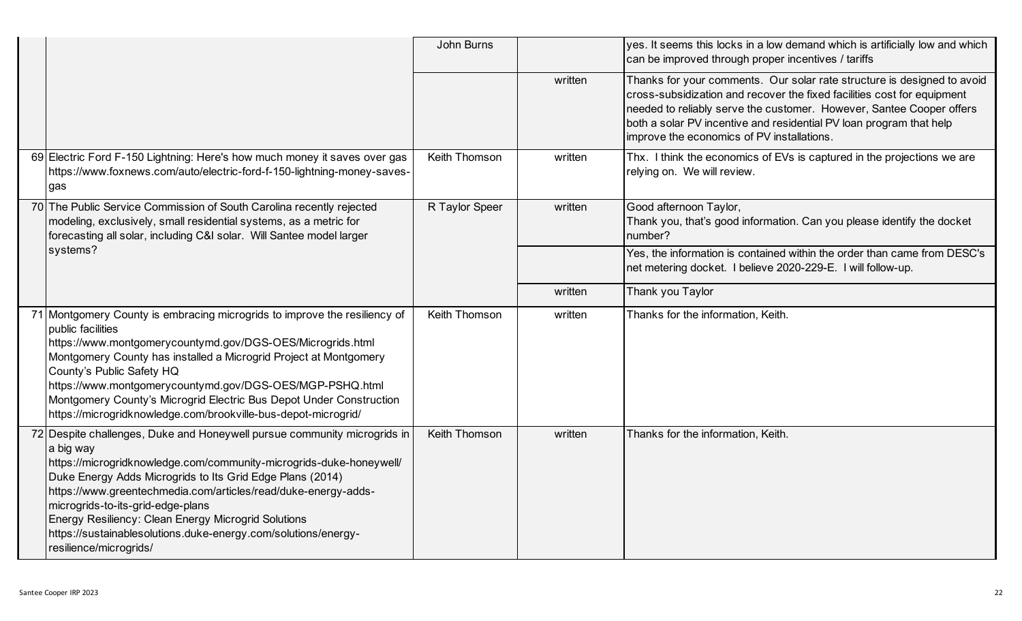|                                                                                                                                                                                                                                                                                                                                                                                                                                                                                     | John Burns     |         | yes. It seems this locks in a low demand which is artificially low and which<br>can be improved through proper incentives / tariffs                                                                                                                                                                                                             |
|-------------------------------------------------------------------------------------------------------------------------------------------------------------------------------------------------------------------------------------------------------------------------------------------------------------------------------------------------------------------------------------------------------------------------------------------------------------------------------------|----------------|---------|-------------------------------------------------------------------------------------------------------------------------------------------------------------------------------------------------------------------------------------------------------------------------------------------------------------------------------------------------|
|                                                                                                                                                                                                                                                                                                                                                                                                                                                                                     |                | written | Thanks for your comments. Our solar rate structure is designed to avoid<br>cross-subsidization and recover the fixed facilities cost for equipment<br>needed to reliably serve the customer. However, Santee Cooper offers<br>both a solar PV incentive and residential PV loan program that help<br>improve the economics of PV installations. |
| 69 Electric Ford F-150 Lightning: Here's how much money it saves over gas<br>https://www.foxnews.com/auto/electric-ford-f-150-lightning-money-saves-<br>gas                                                                                                                                                                                                                                                                                                                         | Keith Thomson  | written | Thx. I think the economics of EVs is captured in the projections we are<br>relying on. We will review.                                                                                                                                                                                                                                          |
| 70 The Public Service Commission of South Carolina recently rejected<br>modeling, exclusively, small residential systems, as a metric for<br>forecasting all solar, including C&I solar. Will Santee model larger                                                                                                                                                                                                                                                                   | R Taylor Speer | written | Good afternoon Taylor,<br>Thank you, that's good information. Can you please identify the docket<br>number?                                                                                                                                                                                                                                     |
| systems?                                                                                                                                                                                                                                                                                                                                                                                                                                                                            |                |         | Yes, the information is contained within the order than came from DESC's<br>net metering docket. I believe 2020-229-E. I will follow-up.                                                                                                                                                                                                        |
|                                                                                                                                                                                                                                                                                                                                                                                                                                                                                     |                | written | Thank you Taylor                                                                                                                                                                                                                                                                                                                                |
| 71 Montgomery County is embracing microgrids to improve the resiliency of<br>public facilities<br>https://www.montgomerycountymd.gov/DGS-OES/Microgrids.html<br>Montgomery County has installed a Microgrid Project at Montgomery<br>County's Public Safety HQ<br>https://www.montgomerycountymd.gov/DGS-OES/MGP-PSHQ.html<br>Montgomery County's Microgrid Electric Bus Depot Under Construction<br>https://microgridknowledge.com/brookville-bus-depot-microgrid/                 | Keith Thomson  | written | Thanks for the information, Keith.                                                                                                                                                                                                                                                                                                              |
| 72 Despite challenges, Duke and Honeywell pursue community microgrids in<br>a big way<br>https://microgridknowledge.com/community-microgrids-duke-honeywell/<br>Duke Energy Adds Microgrids to Its Grid Edge Plans (2014)<br>https://www.greentechmedia.com/articles/read/duke-energy-adds-<br>microgrids-to-its-grid-edge-plans<br>Energy Resiliency: Clean Energy Microgrid Solutions<br>https://sustainablesolutions.duke-energy.com/solutions/energy-<br>resilience/microgrids/ | Keith Thomson  | written | Thanks for the information, Keith.                                                                                                                                                                                                                                                                                                              |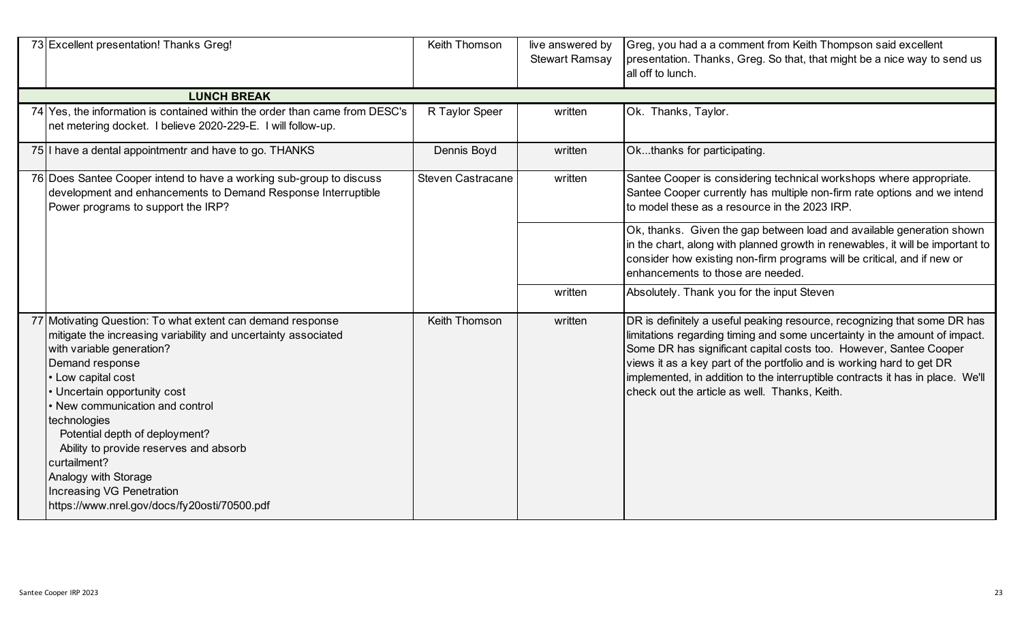| 73 Excellent presentation! Thanks Greg!                                                                                                                                                                                                                                                                                                                                                                                                                                                | Keith Thomson            | live answered by<br><b>Stewart Ramsay</b> | Greg, you had a a comment from Keith Thompson said excellent<br>presentation. Thanks, Greg. So that, that might be a nice way to send us<br>all off to lunch.                                                                                                                                                                                                                                                                           |  |                                                                                                                                                                                                                                                                         |
|----------------------------------------------------------------------------------------------------------------------------------------------------------------------------------------------------------------------------------------------------------------------------------------------------------------------------------------------------------------------------------------------------------------------------------------------------------------------------------------|--------------------------|-------------------------------------------|-----------------------------------------------------------------------------------------------------------------------------------------------------------------------------------------------------------------------------------------------------------------------------------------------------------------------------------------------------------------------------------------------------------------------------------------|--|-------------------------------------------------------------------------------------------------------------------------------------------------------------------------------------------------------------------------------------------------------------------------|
| <b>LUNCH BREAK</b>                                                                                                                                                                                                                                                                                                                                                                                                                                                                     |                          |                                           |                                                                                                                                                                                                                                                                                                                                                                                                                                         |  |                                                                                                                                                                                                                                                                         |
| 74 Yes, the information is contained within the order than came from DESC's<br>net metering docket. I believe 2020-229-E. I will follow-up.                                                                                                                                                                                                                                                                                                                                            | R Taylor Speer           | written                                   | Ok. Thanks, Taylor.                                                                                                                                                                                                                                                                                                                                                                                                                     |  |                                                                                                                                                                                                                                                                         |
| 75 I have a dental appointmentr and have to go. THANKS                                                                                                                                                                                                                                                                                                                                                                                                                                 | Dennis Boyd              | written                                   | Okthanks for participating.                                                                                                                                                                                                                                                                                                                                                                                                             |  |                                                                                                                                                                                                                                                                         |
| 76 Does Santee Cooper intend to have a working sub-group to discuss<br>development and enhancements to Demand Response Interruptible<br>Power programs to support the IRP?                                                                                                                                                                                                                                                                                                             | <b>Steven Castracane</b> | written                                   | Santee Cooper is considering technical workshops where appropriate.<br>Santee Cooper currently has multiple non-firm rate options and we intend<br>to model these as a resource in the 2023 IRP.                                                                                                                                                                                                                                        |  |                                                                                                                                                                                                                                                                         |
|                                                                                                                                                                                                                                                                                                                                                                                                                                                                                        |                          |                                           |                                                                                                                                                                                                                                                                                                                                                                                                                                         |  | Ok, thanks. Given the gap between load and available generation shown<br>in the chart, along with planned growth in renewables, it will be important to<br>consider how existing non-firm programs will be critical, and if new or<br>enhancements to those are needed. |
|                                                                                                                                                                                                                                                                                                                                                                                                                                                                                        |                          | written                                   | Absolutely. Thank you for the input Steven                                                                                                                                                                                                                                                                                                                                                                                              |  |                                                                                                                                                                                                                                                                         |
| 77 Motivating Question: To what extent can demand response<br>mitigate the increasing variability and uncertainty associated<br>with variable generation?<br>Demand response<br>• Low capital cost<br>• Uncertain opportunity cost<br>• New communication and control<br>technologies<br>Potential depth of deployment?<br>Ability to provide reserves and absorb<br>curtailment?<br>Analogy with Storage<br>Increasing VG Penetration<br>https://www.nrel.gov/docs/fy20osti/70500.pdf | Keith Thomson            | written                                   | DR is definitely a useful peaking resource, recognizing that some DR has<br>limitations regarding timing and some uncertainty in the amount of impact.<br>Some DR has significant capital costs too. However, Santee Cooper<br>views it as a key part of the portfolio and is working hard to get DR<br>implemented, in addition to the interruptible contracts it has in place. We'll<br>check out the article as well. Thanks, Keith. |  |                                                                                                                                                                                                                                                                         |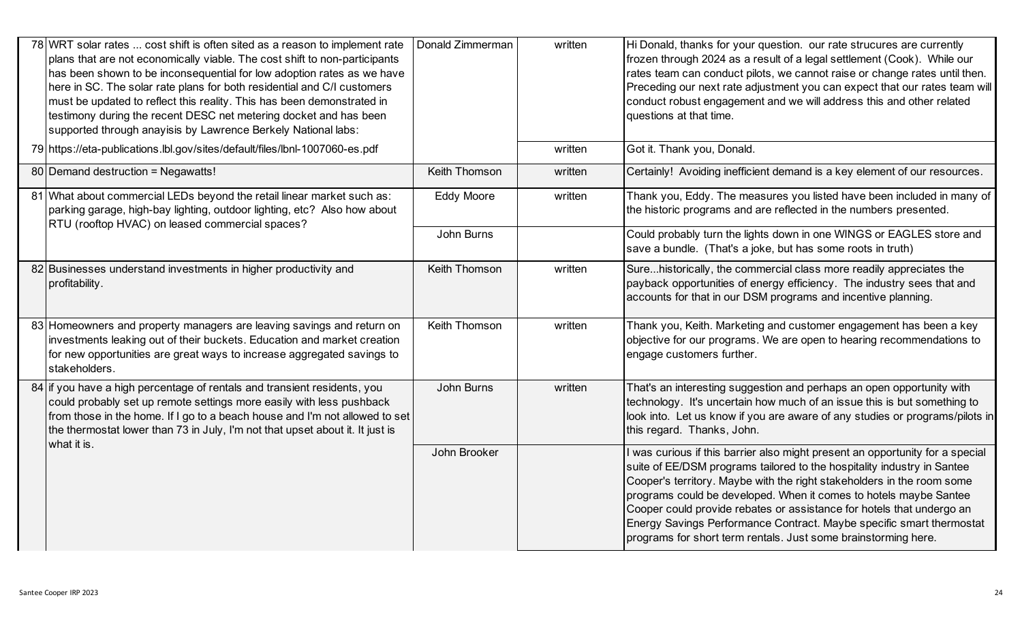| 78 WRT solar rates  cost shift is often sited as a reason to implement rate<br>plans that are not economically viable. The cost shift to non-participants<br>has been shown to be inconsequential for low adoption rates as we have<br>here in SC. The solar rate plans for both residential and C/I customers<br>must be updated to reflect this reality. This has been demonstrated in<br>testimony during the recent DESC net metering docket and has been<br>supported through anayisis by Lawrence Berkely National labs:<br>79 https://eta-publications.lbl.gov/sites/default/files/lbnl-1007060-es.pdf | Donald Zimmerman  | written<br>written | Hi Donald, thanks for your question. our rate strucures are currently<br>frozen through 2024 as a result of a legal settlement (Cook). While our<br>rates team can conduct pilots, we cannot raise or change rates until then.<br>Preceding our next rate adjustment you can expect that our rates team will<br>conduct robust engagement and we will address this and other related<br>questions at that time.<br>Got it. Thank you, Donald.                                                                              |
|---------------------------------------------------------------------------------------------------------------------------------------------------------------------------------------------------------------------------------------------------------------------------------------------------------------------------------------------------------------------------------------------------------------------------------------------------------------------------------------------------------------------------------------------------------------------------------------------------------------|-------------------|--------------------|----------------------------------------------------------------------------------------------------------------------------------------------------------------------------------------------------------------------------------------------------------------------------------------------------------------------------------------------------------------------------------------------------------------------------------------------------------------------------------------------------------------------------|
|                                                                                                                                                                                                                                                                                                                                                                                                                                                                                                                                                                                                               |                   |                    |                                                                                                                                                                                                                                                                                                                                                                                                                                                                                                                            |
| 80 Demand destruction = Negawatts!                                                                                                                                                                                                                                                                                                                                                                                                                                                                                                                                                                            | Keith Thomson     | written            | Certainly! Avoiding inefficient demand is a key element of our resources.                                                                                                                                                                                                                                                                                                                                                                                                                                                  |
| 81 What about commercial LEDs beyond the retail linear market such as:<br>parking garage, high-bay lighting, outdoor lighting, etc? Also how about<br>RTU (rooftop HVAC) on leased commercial spaces?                                                                                                                                                                                                                                                                                                                                                                                                         | <b>Eddy Moore</b> | written            | Thank you, Eddy. The measures you listed have been included in many of<br>the historic programs and are reflected in the numbers presented.                                                                                                                                                                                                                                                                                                                                                                                |
|                                                                                                                                                                                                                                                                                                                                                                                                                                                                                                                                                                                                               | John Burns        |                    | Could probably turn the lights down in one WINGS or EAGLES store and<br>save a bundle. (That's a joke, but has some roots in truth)                                                                                                                                                                                                                                                                                                                                                                                        |
| 82 Businesses understand investments in higher productivity and<br>profitability.                                                                                                                                                                                                                                                                                                                                                                                                                                                                                                                             | Keith Thomson     | written            | Surehistorically, the commercial class more readily appreciates the<br>payback opportunities of energy efficiency. The industry sees that and<br>accounts for that in our DSM programs and incentive planning.                                                                                                                                                                                                                                                                                                             |
| 83 Homeowners and property managers are leaving savings and return on<br>investments leaking out of their buckets. Education and market creation<br>for new opportunities are great ways to increase aggregated savings to<br>stakeholders.                                                                                                                                                                                                                                                                                                                                                                   | Keith Thomson     | written            | Thank you, Keith. Marketing and customer engagement has been a key<br>objective for our programs. We are open to hearing recommendations to<br>engage customers further.                                                                                                                                                                                                                                                                                                                                                   |
| 84 If you have a high percentage of rentals and transient residents, you<br>could probably set up remote settings more easily with less pushback<br>from those in the home. If I go to a beach house and I'm not allowed to set<br>the thermostat lower than 73 in July, I'm not that upset about it. It just is<br>what it is.                                                                                                                                                                                                                                                                               | John Burns        | written            | That's an interesting suggestion and perhaps an open opportunity with<br>technology. It's uncertain how much of an issue this is but something to<br>look into. Let us know if you are aware of any studies or programs/pilots in<br>this regard. Thanks, John.                                                                                                                                                                                                                                                            |
|                                                                                                                                                                                                                                                                                                                                                                                                                                                                                                                                                                                                               | John Brooker      |                    | I was curious if this barrier also might present an opportunity for a special<br>suite of EE/DSM programs tailored to the hospitality industry in Santee<br>Cooper's territory. Maybe with the right stakeholders in the room some<br>programs could be developed. When it comes to hotels maybe Santee<br>Cooper could provide rebates or assistance for hotels that undergo an<br>Energy Savings Performance Contract. Maybe specific smart thermostat<br>programs for short term rentals. Just some brainstorming here. |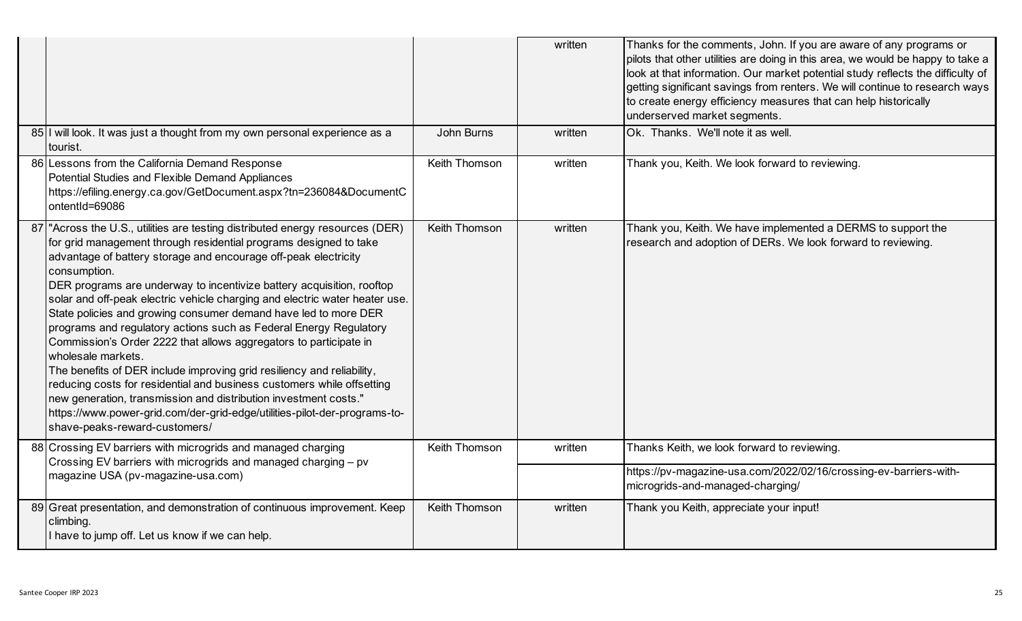|                                                                                                                                                                                                                                                                                                                                                                                                                                                                                                                                                                                                                                                                                                                                                                                                                                                                                                                                                                     |               | written | Thanks for the comments, John. If you are aware of any programs or<br>pilots that other utilities are doing in this area, we would be happy to take a<br>look at that information. Our market potential study reflects the difficulty of<br>getting significant savings from renters. We will continue to research ways<br>to create energy efficiency measures that can help historically<br>underserved market segments. |
|---------------------------------------------------------------------------------------------------------------------------------------------------------------------------------------------------------------------------------------------------------------------------------------------------------------------------------------------------------------------------------------------------------------------------------------------------------------------------------------------------------------------------------------------------------------------------------------------------------------------------------------------------------------------------------------------------------------------------------------------------------------------------------------------------------------------------------------------------------------------------------------------------------------------------------------------------------------------|---------------|---------|----------------------------------------------------------------------------------------------------------------------------------------------------------------------------------------------------------------------------------------------------------------------------------------------------------------------------------------------------------------------------------------------------------------------------|
| 85 I will look. It was just a thought from my own personal experience as a<br>tourist.                                                                                                                                                                                                                                                                                                                                                                                                                                                                                                                                                                                                                                                                                                                                                                                                                                                                              | John Burns    | written | Ok. Thanks. We'll note it as well.                                                                                                                                                                                                                                                                                                                                                                                         |
| 86 Lessons from the California Demand Response<br>Potential Studies and Flexible Demand Appliances<br>https://efiling.energy.ca.gov/GetDocument.aspx?tn=236084&DocumentC<br>ontentId=69086                                                                                                                                                                                                                                                                                                                                                                                                                                                                                                                                                                                                                                                                                                                                                                          | Keith Thomson | written | Thank you, Keith. We look forward to reviewing.                                                                                                                                                                                                                                                                                                                                                                            |
| "Across the U.S., utilities are testing distributed energy resources (DER)<br>for grid management through residential programs designed to take<br>advantage of battery storage and encourage off-peak electricity<br>consumption.<br>DER programs are underway to incentivize battery acquisition, rooftop<br>solar and off-peak electric vehicle charging and electric water heater use.<br>State policies and growing consumer demand have led to more DER<br>programs and regulatory actions such as Federal Energy Regulatory<br>Commission's Order 2222 that allows aggregators to participate in<br>wholesale markets.<br>The benefits of DER include improving grid resiliency and reliability,<br>reducing costs for residential and business customers while offsetting<br>new generation, transmission and distribution investment costs."<br>https://www.power-grid.com/der-grid-edge/utilities-pilot-der-programs-to-<br>shave-peaks-reward-customers/ | Keith Thomson | written | Thank you, Keith. We have implemented a DERMS to support the<br>research and adoption of DERs. We look forward to reviewing.                                                                                                                                                                                                                                                                                               |
| 88 Crossing EV barriers with microgrids and managed charging<br>Crossing EV barriers with microgrids and managed charging - pv<br>magazine USA (pv-magazine-usa.com)                                                                                                                                                                                                                                                                                                                                                                                                                                                                                                                                                                                                                                                                                                                                                                                                | Keith Thomson | written | Thanks Keith, we look forward to reviewing.<br>https://pv-magazine-usa.com/2022/02/16/crossing-ev-barriers-with-                                                                                                                                                                                                                                                                                                           |
|                                                                                                                                                                                                                                                                                                                                                                                                                                                                                                                                                                                                                                                                                                                                                                                                                                                                                                                                                                     |               |         | microgrids-and-managed-charging/                                                                                                                                                                                                                                                                                                                                                                                           |
| 89 Great presentation, and demonstration of continuous improvement. Keep<br>climbing.<br>I have to jump off. Let us know if we can help.                                                                                                                                                                                                                                                                                                                                                                                                                                                                                                                                                                                                                                                                                                                                                                                                                            | Keith Thomson | written | Thank you Keith, appreciate your input!                                                                                                                                                                                                                                                                                                                                                                                    |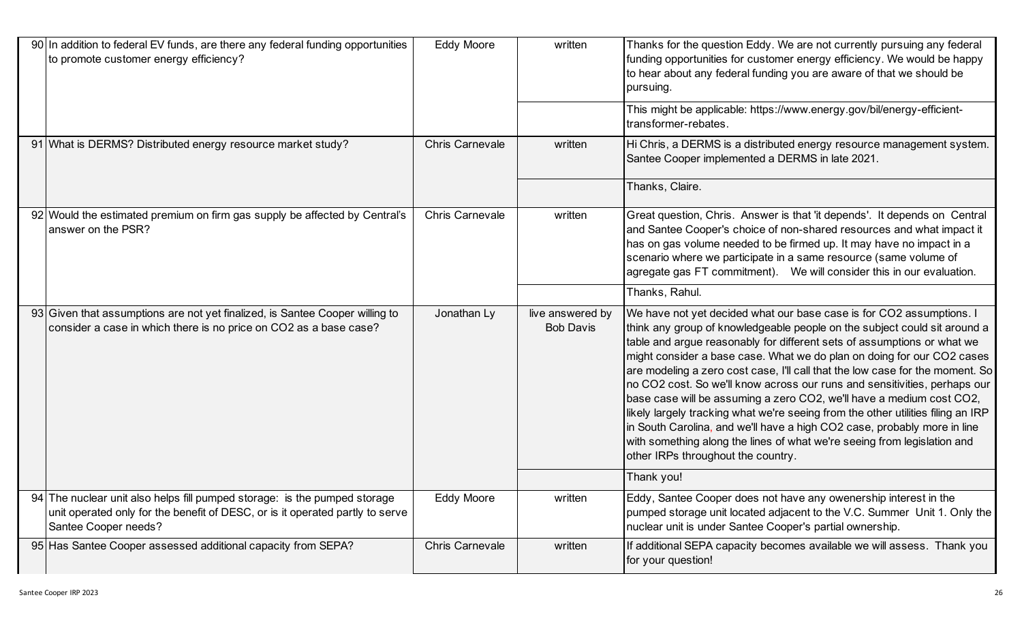| 90 In addition to federal EV funds, are there any federal funding opportunities<br>to promote customer energy efficiency?                                                          | <b>Eddy Moore</b>      | written                              | Thanks for the question Eddy. We are not currently pursuing any federal<br>funding opportunities for customer energy efficiency. We would be happy<br>to hear about any federal funding you are aware of that we should be<br>pursuing.                                                                                                                                                                                                                                                                                                                                                                                                                                                                                                                                                                                        |
|------------------------------------------------------------------------------------------------------------------------------------------------------------------------------------|------------------------|--------------------------------------|--------------------------------------------------------------------------------------------------------------------------------------------------------------------------------------------------------------------------------------------------------------------------------------------------------------------------------------------------------------------------------------------------------------------------------------------------------------------------------------------------------------------------------------------------------------------------------------------------------------------------------------------------------------------------------------------------------------------------------------------------------------------------------------------------------------------------------|
|                                                                                                                                                                                    |                        |                                      | This might be applicable: https://www.energy.gov/bil/energy-efficient-<br>transformer-rebates.                                                                                                                                                                                                                                                                                                                                                                                                                                                                                                                                                                                                                                                                                                                                 |
| 91 What is DERMS? Distributed energy resource market study?                                                                                                                        | <b>Chris Carnevale</b> | written                              | Hi Chris, a DERMS is a distributed energy resource management system.<br>Santee Cooper implemented a DERMS in late 2021.                                                                                                                                                                                                                                                                                                                                                                                                                                                                                                                                                                                                                                                                                                       |
|                                                                                                                                                                                    |                        |                                      | Thanks, Claire.                                                                                                                                                                                                                                                                                                                                                                                                                                                                                                                                                                                                                                                                                                                                                                                                                |
| 92 Would the estimated premium on firm gas supply be affected by Central's<br>answer on the PSR?                                                                                   | <b>Chris Carnevale</b> | written                              | Great question, Chris. Answer is that 'it depends'. It depends on Central<br>and Santee Cooper's choice of non-shared resources and what impact it<br>has on gas volume needed to be firmed up. It may have no impact in a<br>scenario where we participate in a same resource (same volume of<br>agregate gas FT commitment). We will consider this in our evaluation.                                                                                                                                                                                                                                                                                                                                                                                                                                                        |
|                                                                                                                                                                                    |                        |                                      | Thanks, Rahul.                                                                                                                                                                                                                                                                                                                                                                                                                                                                                                                                                                                                                                                                                                                                                                                                                 |
| 93 Given that assumptions are not yet finalized, is Santee Cooper willing to<br>consider a case in which there is no price on CO2 as a base case?                                  | Jonathan Ly            | live answered by<br><b>Bob Davis</b> | We have not yet decided what our base case is for CO2 assumptions. I<br>think any group of knowledgeable people on the subject could sit around a<br>table and argue reasonably for different sets of assumptions or what we<br>might consider a base case. What we do plan on doing for our CO2 cases<br>are modeling a zero cost case, I'll call that the low case for the moment. So<br>no CO2 cost. So we'll know across our runs and sensitivities, perhaps our<br>base case will be assuming a zero CO2, we'll have a medium cost CO2,<br>likely largely tracking what we're seeing from the other utilities filing an IRP<br>in South Carolina, and we'll have a high CO2 case, probably more in line<br>with something along the lines of what we're seeing from legislation and<br>other IRPs throughout the country. |
|                                                                                                                                                                                    |                        |                                      | Thank you!                                                                                                                                                                                                                                                                                                                                                                                                                                                                                                                                                                                                                                                                                                                                                                                                                     |
| 94 The nuclear unit also helps fill pumped storage: is the pumped storage<br>unit operated only for the benefit of DESC, or is it operated partly to serve<br>Santee Cooper needs? | <b>Eddy Moore</b>      | written                              | Eddy, Santee Cooper does not have any owenership interest in the<br>pumped storage unit located adjacent to the V.C. Summer Unit 1. Only the<br>nuclear unit is under Santee Cooper's partial ownership.                                                                                                                                                                                                                                                                                                                                                                                                                                                                                                                                                                                                                       |
| 95 Has Santee Cooper assessed additional capacity from SEPA?                                                                                                                       | <b>Chris Carnevale</b> | written                              | If additional SEPA capacity becomes available we will assess. Thank you<br>for your question!                                                                                                                                                                                                                                                                                                                                                                                                                                                                                                                                                                                                                                                                                                                                  |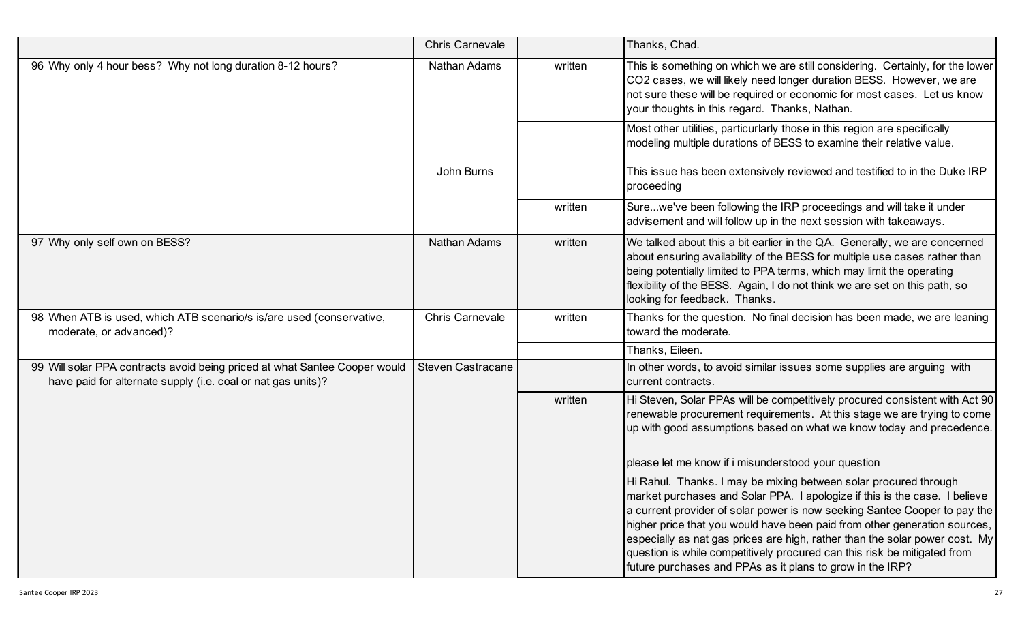|                                                                                                                                            | <b>Chris Carnevale</b>   |         | Thanks, Chad.                                                                                                                                                                                                                                                                                                                                                                                                                                                                                                                    |
|--------------------------------------------------------------------------------------------------------------------------------------------|--------------------------|---------|----------------------------------------------------------------------------------------------------------------------------------------------------------------------------------------------------------------------------------------------------------------------------------------------------------------------------------------------------------------------------------------------------------------------------------------------------------------------------------------------------------------------------------|
| 96 Why only 4 hour bess? Why not long duration 8-12 hours?                                                                                 | <b>Nathan Adams</b>      | written | This is something on which we are still considering. Certainly, for the lower<br>CO2 cases, we will likely need longer duration BESS. However, we are<br>not sure these will be required or economic for most cases. Let us know<br>your thoughts in this regard. Thanks, Nathan.                                                                                                                                                                                                                                                |
|                                                                                                                                            |                          |         | Most other utilities, particurlarly those in this region are specifically<br>modeling multiple durations of BESS to examine their relative value.                                                                                                                                                                                                                                                                                                                                                                                |
|                                                                                                                                            | John Burns               |         | This issue has been extensively reviewed and testified to in the Duke IRP<br>proceeding                                                                                                                                                                                                                                                                                                                                                                                                                                          |
|                                                                                                                                            |                          | written | Surewe've been following the IRP proceedings and will take it under<br>advisement and will follow up in the next session with takeaways.                                                                                                                                                                                                                                                                                                                                                                                         |
| 97 Why only self own on BESS?                                                                                                              | <b>Nathan Adams</b>      | written | We talked about this a bit earlier in the QA. Generally, we are concerned<br>about ensuring availability of the BESS for multiple use cases rather than<br>being potentially limited to PPA terms, which may limit the operating<br>flexibility of the BESS. Again, I do not think we are set on this path, so<br>looking for feedback. Thanks.                                                                                                                                                                                  |
| 98 When ATB is used, which ATB scenario/s is/are used (conservative,<br>moderate, or advanced)?                                            | <b>Chris Carnevale</b>   | written | Thanks for the question. No final decision has been made, we are leaning<br>toward the moderate.                                                                                                                                                                                                                                                                                                                                                                                                                                 |
|                                                                                                                                            |                          |         | Thanks, Eileen.                                                                                                                                                                                                                                                                                                                                                                                                                                                                                                                  |
| 99 Will solar PPA contracts avoid being priced at what Santee Cooper would<br>have paid for alternate supply (i.e. coal or nat gas units)? | <b>Steven Castracane</b> |         | In other words, to avoid similar issues some supplies are arguing with<br>current contracts.                                                                                                                                                                                                                                                                                                                                                                                                                                     |
|                                                                                                                                            |                          | written | Hi Steven, Solar PPAs will be competitively procured consistent with Act 90<br>renewable procurement requirements. At this stage we are trying to come<br>up with good assumptions based on what we know today and precedence.                                                                                                                                                                                                                                                                                                   |
|                                                                                                                                            |                          |         | please let me know if i misunderstood your question                                                                                                                                                                                                                                                                                                                                                                                                                                                                              |
|                                                                                                                                            |                          |         | Hi Rahul. Thanks. I may be mixing between solar procured through<br>market purchases and Solar PPA. I apologize if this is the case. I believe<br>a current provider of solar power is now seeking Santee Cooper to pay the<br>higher price that you would have been paid from other generation sources,<br>especially as nat gas prices are high, rather than the solar power cost. My<br>question is while competitively procured can this risk be mitigated from<br>future purchases and PPAs as it plans to grow in the IRP? |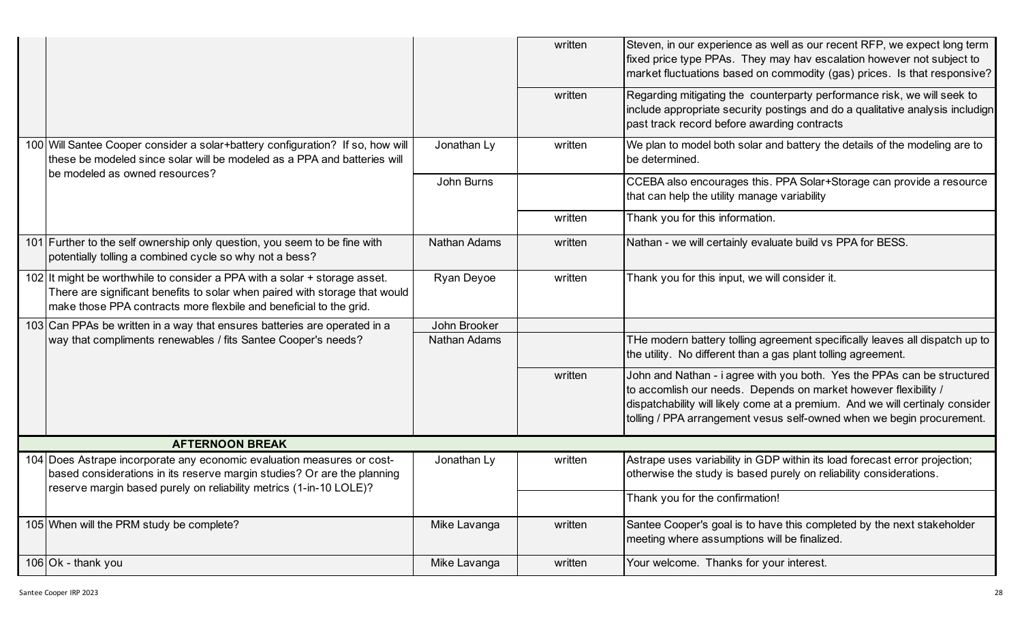|                                                                                                                                                                                                                                 |              | written | Steven, in our experience as well as our recent RFP, we expect long term<br>fixed price type PPAs. They may hav escalation however not subject to<br>market fluctuations based on commodity (gas) prices. Is that responsive?                                                                        |  |  |  |
|---------------------------------------------------------------------------------------------------------------------------------------------------------------------------------------------------------------------------------|--------------|---------|------------------------------------------------------------------------------------------------------------------------------------------------------------------------------------------------------------------------------------------------------------------------------------------------------|--|--|--|
|                                                                                                                                                                                                                                 |              | written | Regarding mitigating the counterparty performance risk, we will seek to<br>include appropriate security postings and do a qualitative analysis includign<br>past track record before awarding contracts                                                                                              |  |  |  |
| 100 Will Santee Cooper consider a solar+battery configuration? If so, how will<br>these be modeled since solar will be modeled as a PPA and batteries will                                                                      | Jonathan Ly  | written | We plan to model both solar and battery the details of the modeling are to<br>be determined.                                                                                                                                                                                                         |  |  |  |
| be modeled as owned resources?                                                                                                                                                                                                  | John Burns   |         | CCEBA also encourages this. PPA Solar+Storage can provide a resource<br>that can help the utility manage variability                                                                                                                                                                                 |  |  |  |
|                                                                                                                                                                                                                                 |              | written | Thank you for this information.                                                                                                                                                                                                                                                                      |  |  |  |
| 101 Further to the self ownership only question, you seem to be fine with<br>potentially tolling a combined cycle so why not a bess?                                                                                            | Nathan Adams | written | Nathan - we will certainly evaluate build vs PPA for BESS.                                                                                                                                                                                                                                           |  |  |  |
| 102 It might be worthwhile to consider a PPA with a solar + storage asset.<br>There are significant benefits to solar when paired with storage that would<br>make those PPA contracts more flexbile and beneficial to the grid. | Ryan Deyoe   | written | Thank you for this input, we will consider it.                                                                                                                                                                                                                                                       |  |  |  |
| 103 Can PPAs be written in a way that ensures batteries are operated in a                                                                                                                                                       | John Brooker |         |                                                                                                                                                                                                                                                                                                      |  |  |  |
| way that compliments renewables / fits Santee Cooper's needs?                                                                                                                                                                   | Nathan Adams |         | THe modern battery tolling agreement specifically leaves all dispatch up to<br>the utility. No different than a gas plant tolling agreement.                                                                                                                                                         |  |  |  |
|                                                                                                                                                                                                                                 |              | written | John and Nathan - i agree with you both. Yes the PPAs can be structured<br>to accomlish our needs. Depends on market however flexibility /<br>dispatchability will likely come at a premium. And we will certinaly consider<br>tolling / PPA arrangement vesus self-owned when we begin procurement. |  |  |  |
| <b>AFTERNOON BREAK</b>                                                                                                                                                                                                          |              |         |                                                                                                                                                                                                                                                                                                      |  |  |  |
| 104 Does Astrape incorporate any economic evaluation measures or cost-<br>based considerations in its reserve margin studies? Or are the planning<br>reserve margin based purely on reliability metrics (1-in-10 LOLE)?         | Jonathan Ly  | written | Astrape uses variability in GDP within its load forecast error projection;<br>otherwise the study is based purely on reliability considerations.                                                                                                                                                     |  |  |  |
|                                                                                                                                                                                                                                 |              |         | Thank you for the confirmation!                                                                                                                                                                                                                                                                      |  |  |  |
| 105 When will the PRM study be complete?                                                                                                                                                                                        | Mike Lavanga | written | Santee Cooper's goal is to have this completed by the next stakeholder<br>meeting where assumptions will be finalized.                                                                                                                                                                               |  |  |  |
| $106$ Ok - thank you                                                                                                                                                                                                            | Mike Lavanga | written | Your welcome. Thanks for your interest.                                                                                                                                                                                                                                                              |  |  |  |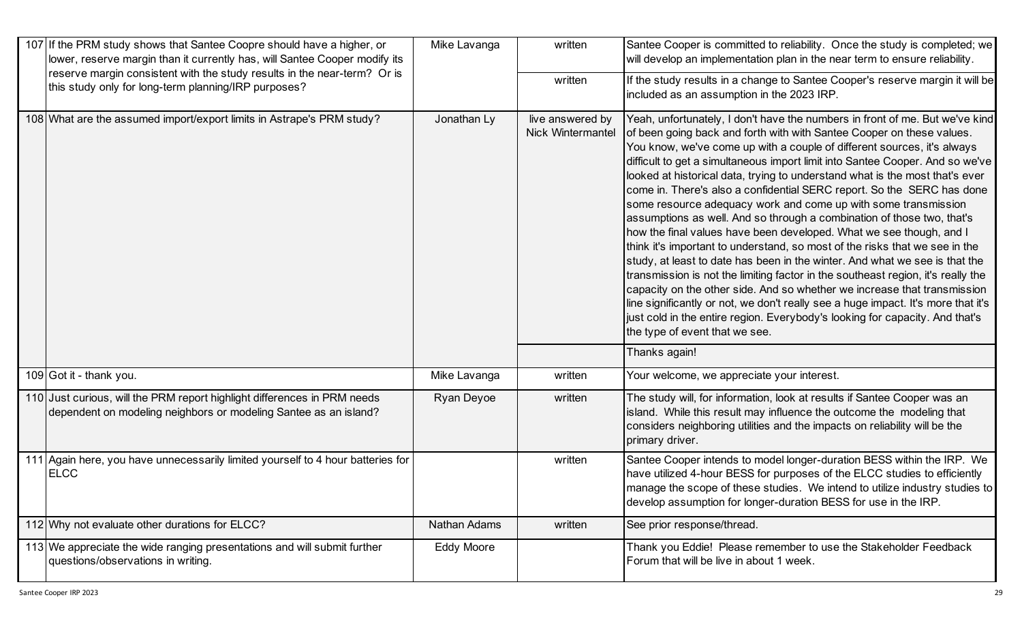| 107 If the PRM study shows that Santee Coopre should have a higher, or<br>lower, reserve margin than it currently has, will Santee Cooper modify its | Mike Lavanga | written                                      | Santee Cooper is committed to reliability. Once the study is completed; we<br>will develop an implementation plan in the near term to ensure reliability.                                                                                                                                                                                                                                                                                                                                                                                                                                                                                                                                                                                                                                                                                                                                                                                                                                                                                                                                                                                                                                                                           |
|------------------------------------------------------------------------------------------------------------------------------------------------------|--------------|----------------------------------------------|-------------------------------------------------------------------------------------------------------------------------------------------------------------------------------------------------------------------------------------------------------------------------------------------------------------------------------------------------------------------------------------------------------------------------------------------------------------------------------------------------------------------------------------------------------------------------------------------------------------------------------------------------------------------------------------------------------------------------------------------------------------------------------------------------------------------------------------------------------------------------------------------------------------------------------------------------------------------------------------------------------------------------------------------------------------------------------------------------------------------------------------------------------------------------------------------------------------------------------------|
| reserve margin consistent with the study results in the near-term? Or is<br>this study only for long-term planning/IRP purposes?                     |              | written                                      | If the study results in a change to Santee Cooper's reserve margin it will be<br>included as an assumption in the 2023 IRP.                                                                                                                                                                                                                                                                                                                                                                                                                                                                                                                                                                                                                                                                                                                                                                                                                                                                                                                                                                                                                                                                                                         |
| 108 What are the assumed import/export limits in Astrape's PRM study?                                                                                | Jonathan Ly  | live answered by<br><b>Nick Wintermantel</b> | Yeah, unfortunately, I don't have the numbers in front of me. But we've kind<br>of been going back and forth with with Santee Cooper on these values.<br>You know, we've come up with a couple of different sources, it's always<br>difficult to get a simultaneous import limit into Santee Cooper. And so we've<br>looked at historical data, trying to understand what is the most that's ever<br>come in. There's also a confidential SERC report. So the SERC has done<br>some resource adequacy work and come up with some transmission<br>assumptions as well. And so through a combination of those two, that's<br>how the final values have been developed. What we see though, and I<br>think it's important to understand, so most of the risks that we see in the<br>study, at least to date has been in the winter. And what we see is that the<br>transmission is not the limiting factor in the southeast region, it's really the<br>capacity on the other side. And so whether we increase that transmission<br>line significantly or not, we don't really see a huge impact. It's more that it's<br>just cold in the entire region. Everybody's looking for capacity. And that's<br>the type of event that we see. |
|                                                                                                                                                      |              |                                              | Thanks again!                                                                                                                                                                                                                                                                                                                                                                                                                                                                                                                                                                                                                                                                                                                                                                                                                                                                                                                                                                                                                                                                                                                                                                                                                       |
| 109 Got it - thank you.                                                                                                                              | Mike Lavanga | written                                      | Your welcome, we appreciate your interest.                                                                                                                                                                                                                                                                                                                                                                                                                                                                                                                                                                                                                                                                                                                                                                                                                                                                                                                                                                                                                                                                                                                                                                                          |
| 110 Just curious, will the PRM report highlight differences in PRM needs<br>dependent on modeling neighbors or modeling Santee as an island?         | Ryan Deyoe   | written                                      | The study will, for information, look at results if Santee Cooper was an<br>island. While this result may influence the outcome the modeling that<br>considers neighboring utilities and the impacts on reliability will be the<br>primary driver.                                                                                                                                                                                                                                                                                                                                                                                                                                                                                                                                                                                                                                                                                                                                                                                                                                                                                                                                                                                  |
| 111 Again here, you have unnecessarily limited yourself to 4 hour batteries for<br><b>ELCC</b>                                                       |              | written                                      | Santee Cooper intends to model longer-duration BESS within the IRP. We<br>have utilized 4-hour BESS for purposes of the ELCC studies to efficiently<br>manage the scope of these studies. We intend to utilize industry studies to<br>develop assumption for longer-duration BESS for use in the IRP.                                                                                                                                                                                                                                                                                                                                                                                                                                                                                                                                                                                                                                                                                                                                                                                                                                                                                                                               |
| 112 Why not evaluate other durations for ELCC?                                                                                                       | Nathan Adams | written                                      | See prior response/thread.                                                                                                                                                                                                                                                                                                                                                                                                                                                                                                                                                                                                                                                                                                                                                                                                                                                                                                                                                                                                                                                                                                                                                                                                          |
| 113 We appreciate the wide ranging presentations and will submit further<br>questions/observations in writing.                                       | Eddy Moore   |                                              | Thank you Eddie! Please remember to use the Stakeholder Feedback<br>Forum that will be live in about 1 week.                                                                                                                                                                                                                                                                                                                                                                                                                                                                                                                                                                                                                                                                                                                                                                                                                                                                                                                                                                                                                                                                                                                        |